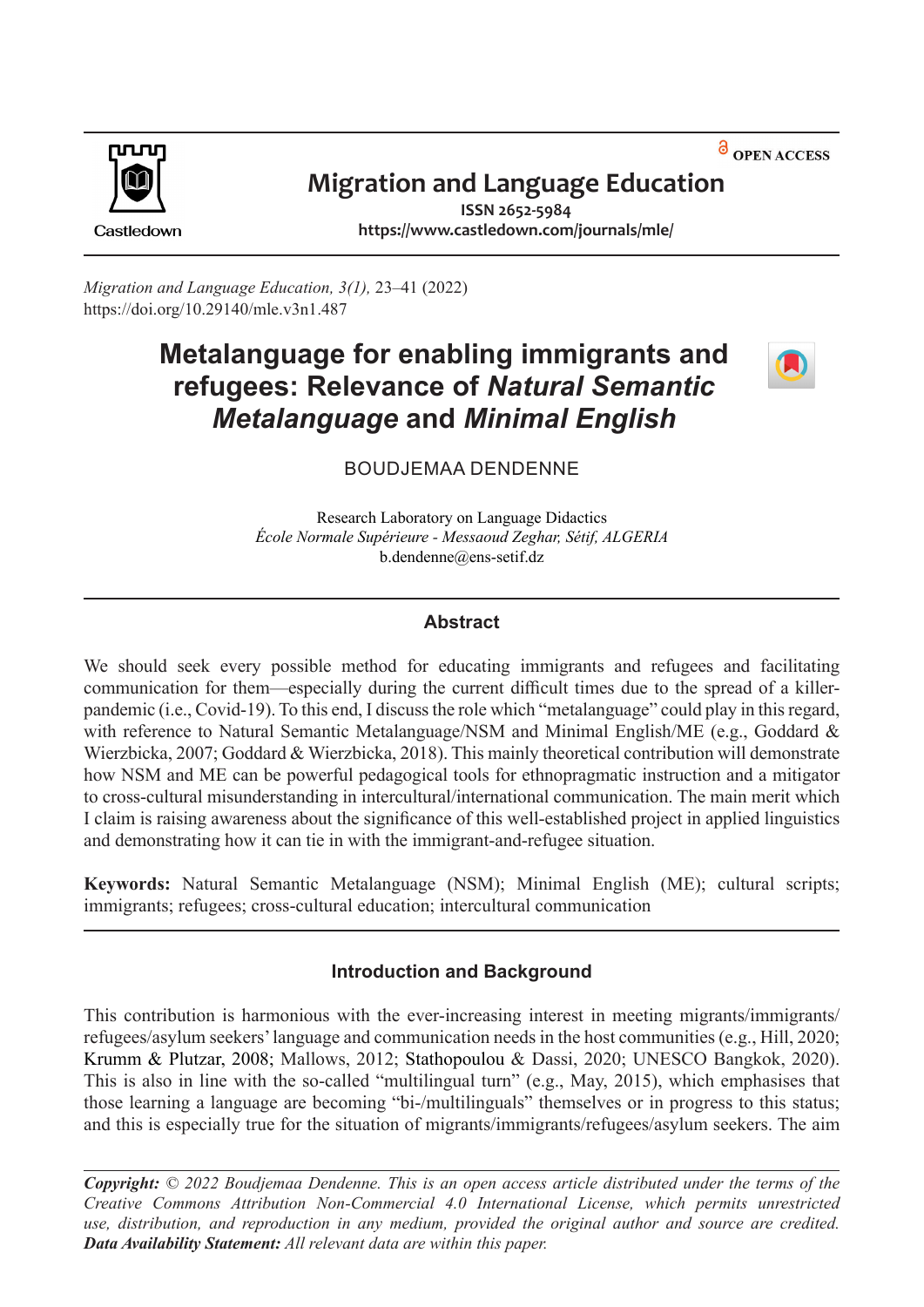<sup>a</sup> OPEN ACCESS



# **Migration and Language Education**

Castledown

**ISSN 2652-5984 <https://www.castledown.com/journals/mle/>**

*Migration and Language Education, 3(1),* 23–41 (2022) <https://doi.org/10.29140/mle.v3n1.487>

# **Metalanguage for enabling immigrants and refugees: Relevance of** *Natural Semantic Metalanguage* **and** *Minimal English*



# BOUDJEMAA DENDENNE

Research Laboratory on Language Didactics *École Normale Supérieure - Messaoud Zeghar, Sétif, ALGERIA*  [b.dendenne@ens-setif.dz](mailto:b.dendenne@ens-setif.dz) 

#### **Abstract**

We should seek every possible method for educating immigrants and refugees and facilitating communication for them—especially during the current difficult times due to the spread of a killer pandemic (i.e., Covid-19). To this end, I discuss the role which "metalanguage" could play in this regard, with reference to Natural Semantic Metalanguage/NSM and Minimal English/ME (e.g., Goddard & Wierzbicka, 2007; Goddard & Wierzbicka, 2018). This mainly theoretical contribution will demonstrate how NSM and ME can be powerful pedagogical tools for ethnopragmatic instruction and a mitigator to cross-cultural misunderstanding in intercultural/international communication. The main merit which I claim is raising awareness about the significance of this well-established project in applied linguistics and demonstrating how it can tie in with the immigrant-and-refugee situation.

**Keywords:** Natural Semantic Metalanguage (NSM); Minimal English (ME); cultural scripts; immigrants; refugees; cross-cultural education; intercultural communication

# **Introduction and Background**

This contribution is harmonious with the ever-increasing interest in meeting migrants/immigrants/ refugees/asylum seekers' language and communication needs in the host communities (e.g., Hill, 2020; Krumm & Plutzar, 2008; Mallows, 2012; Stathopoulou & Dassi, 2020; UNESCO Bangkok, 2020). This is also in line with the so-called "multilingual turn" (e.g., May, 2015), which emphasises that those learning a language are becoming "bi-/multilinguals" themselves or in progress to this status; and this is especially true for the situation of migrants/immigrants/refugees/asylum seekers. The aim

*Copyright: © 2022 Boudjemaa Dendenne. This is an open access article distributed under the terms of the Creative Commons Attribution Non-Commercial 4.0 International License, which permits unrestricted use, distribution, and reproduction in any medium, provided the original author and source are credited. Data Availability Statement: All relevant data are within this paper.*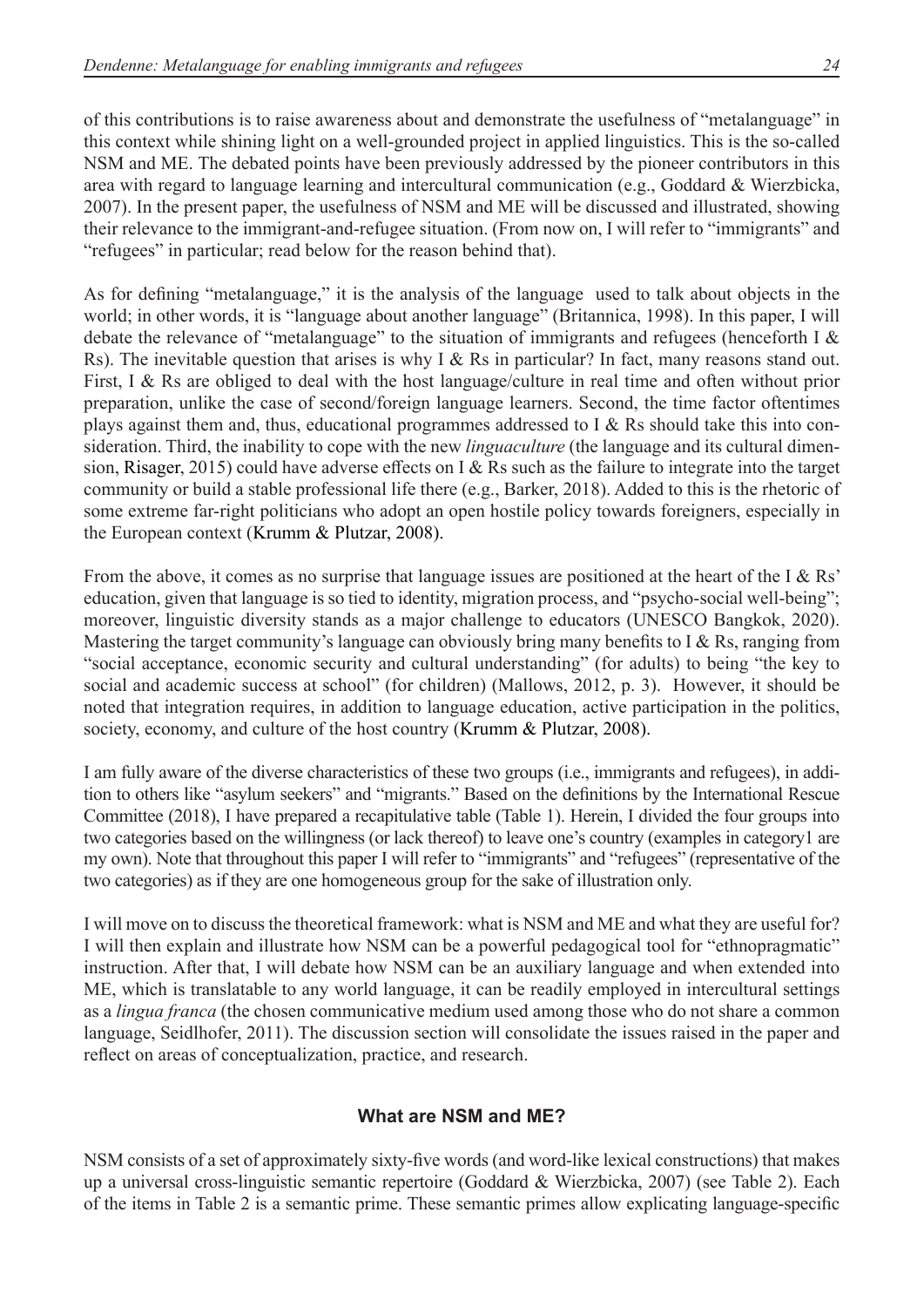of this contributions is to raise awareness about and demonstrate the usefulness of "metalanguage" in this context while shining light on a well-grounded project in applied linguistics. This is the so-called NSM and ME. The debated points have been previously addressed by the pioneer contributors in this area with regard to language learning and intercultural communication (e.g., Goddard & Wierzbicka, 2007). In the present paper, the usefulness of NSM and ME will be discussed and illustrated, showing their relevance to the immigrant-and-refugee situation. (From now on, I will refer to "immigrants" and "refugees" in particular; read below for the reason behind that).

As for defining "metalanguage," it is the analysis of the language used to talk about objects in the world; in other words, it is "language about another language" (Britannica, 1998). In this paper, I will debate the relevance of "metalanguage" to the situation of immigrants and refugees (henceforth I & Rs). The inevitable question that arises is why I & Rs in particular? In fact, many reasons stand out. First, I & Rs are obliged to deal with the host language/culture in real time and often without prior preparation, unlike the case of second/foreign language learners. Second, the time factor oftentimes plays against them and, thus, educational programmes addressed to I & Rs should take this into consideration. Third, the inability to cope with the new *linguaculture* (the language and its cultural dimension, Risager, 2015) could have adverse effects on I & Rs such as the failure to integrate into the target community or build a stable professional life there (e.g., Barker, 2018). Added to this is the rhetoric of some extreme far-right politicians who adopt an open hostile policy towards foreigners, especially in the European context (Krumm & Plutzar, 2008).

From the above, it comes as no surprise that language issues are positioned at the heart of the I & Rs' education, given that language is so tied to identity, migration process, and "psycho-social well-being"; moreover, linguistic diversity stands as a major challenge to educators (UNESCO Bangkok, 2020). Mastering the target community's language can obviously bring many benefits to I & Rs, ranging from "social acceptance, economic security and cultural understanding" (for adults) to being "the key to social and academic success at school" (for children) (Mallows, 2012, p. 3). However, it should be noted that integration requires, in addition to language education, active participation in the politics, society, economy, and culture of the host country (Krumm & Plutzar, 2008).

I am fully aware of the diverse characteristics of these two groups (i.e., immigrants and refugees), in addition to others like "asylum seekers" and "migrants." Based on the definitions by the International Rescue Committee (2018), I have prepared a recapitulative table (Table 1). Herein, I divided the four groups into two categories based on the willingness (or lack thereof) to leave one's country (examples in category1 are my own). Note that throughout this paper I will refer to "immigrants" and "refugees" (representative of the two categories) as if they are one homogeneous group for the sake of illustration only.

I will move on to discuss the theoretical framework: what is NSM and ME and what they are useful for? I will then explain and illustrate how NSM can be a powerful pedagogical tool for "ethnopragmatic" instruction. After that, I will debate how NSM can be an auxiliary language and when extended into ME, which is translatable to any world language, it can be readily employed in intercultural settings as a *lingua franca* (the chosen communicative medium used among those who do not share a common language, Seidlhofer, 2011). The discussion section will consolidate the issues raised in the paper and reflect on areas of conceptualization, practice, and research.

# **What are NSM and ME?**

NSM consists of a set of approximately sixty-five words (and word-like lexical constructions) that makes up a universal cross-linguistic semantic repertoire (Goddard & Wierzbicka, 2007) (see Table 2). Each of the items in Table 2 is a semantic prime. These semantic primes allow explicating language-specific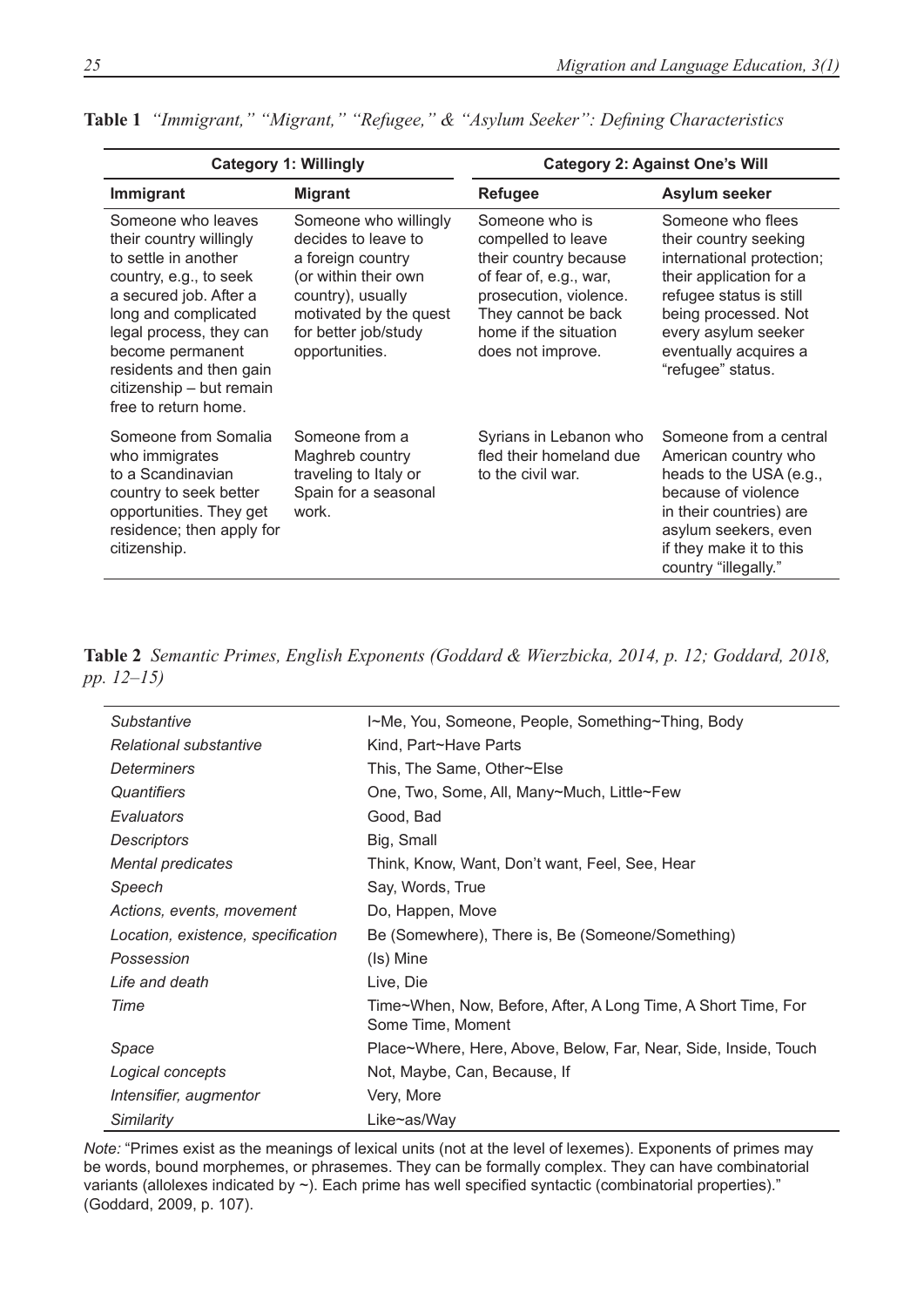|                                                                                                                                                                                                                                                                                 | <b>Category 1: Willingly</b>                                                                                                                                                       | <b>Category 2: Against One's Will</b>                                                                                                                                                  |                                                                                                                                                                                                                            |  |  |
|---------------------------------------------------------------------------------------------------------------------------------------------------------------------------------------------------------------------------------------------------------------------------------|------------------------------------------------------------------------------------------------------------------------------------------------------------------------------------|----------------------------------------------------------------------------------------------------------------------------------------------------------------------------------------|----------------------------------------------------------------------------------------------------------------------------------------------------------------------------------------------------------------------------|--|--|
| Immigrant                                                                                                                                                                                                                                                                       | <b>Migrant</b>                                                                                                                                                                     | <b>Refugee</b>                                                                                                                                                                         | Asylum seeker                                                                                                                                                                                                              |  |  |
| Someone who leaves<br>their country willingly<br>to settle in another<br>country, e.g., to seek<br>a secured job. After a<br>long and complicated<br>legal process, they can<br>become permanent<br>residents and then gain<br>citizenship - but remain<br>free to return home. | Someone who willingly<br>decides to leave to<br>a foreign country<br>(or within their own<br>country), usually<br>motivated by the quest<br>for better job/study<br>opportunities. | Someone who is<br>compelled to leave<br>their country because<br>of fear of, e.g., war,<br>prosecution, violence.<br>They cannot be back<br>home if the situation<br>does not improve. | Someone who flees<br>their country seeking<br>international protection;<br>their application for a<br>refugee status is still<br>being processed. Not<br>every asylum seeker<br>eventually acquires a<br>"refugee" status. |  |  |
| Someone from Somalia<br>who immigrates<br>to a Scandinavian<br>country to seek better<br>opportunities. They get<br>residence; then apply for<br>citizenship.                                                                                                                   | Someone from a<br>Maghreb country<br>traveling to Italy or<br>Spain for a seasonal<br>work.                                                                                        | Syrians in Lebanon who<br>fled their homeland due<br>to the civil war.                                                                                                                 | Someone from a central<br>American country who<br>heads to the USA (e.g.,<br>because of violence<br>in their countries) are<br>asylum seekers, even<br>if they make it to this<br>country "illegally."                     |  |  |

|  |  |  |  |  |  |  |  | Table 1 "Immigrant," "Migrant," "Refugee," & "Asylum Seeker": Defining Characteristics |
|--|--|--|--|--|--|--|--|----------------------------------------------------------------------------------------|
|--|--|--|--|--|--|--|--|----------------------------------------------------------------------------------------|

**Table 2** *Semantic Primes, English Exponents (Goddard & Wierzbicka, 2014, p. 12; Goddard, 2018, pp. 12–15)*

| Substantive                        | I~Me, You, Someone, People, Something~Thing, Body                                  |
|------------------------------------|------------------------------------------------------------------------------------|
| Relational substantive             | Kind, Part~Have Parts                                                              |
| Determiners                        | This, The Same, Other~Else                                                         |
| Quantifiers                        | One, Two, Some, All, Many~Much, Little~Few                                         |
| Evaluators                         | Good, Bad                                                                          |
| <b>Descriptors</b>                 | Big, Small                                                                         |
| <b>Mental predicates</b>           | Think, Know, Want, Don't want, Feel, See, Hear                                     |
| Speech                             | Say, Words, True                                                                   |
| Actions, events, movement          | Do, Happen, Move                                                                   |
| Location, existence, specification | Be (Somewhere), There is, Be (Someone/Something)                                   |
| Possession                         | (Is) Mine                                                                          |
| Life and death                     | Live, Die                                                                          |
| Time                               | Time~When, Now, Before, After, A Long Time, A Short Time, For<br>Some Time, Moment |
| Space                              | Place~Where, Here, Above, Below, Far, Near, Side, Inside, Touch                    |
| Logical concepts                   | Not, Maybe, Can, Because, If                                                       |
| Intensifier, augmentor             | Very, More                                                                         |
| Similarity                         | Like~as/Way                                                                        |

*Note:* "Primes exist as the meanings of lexical units (not at the level of lexemes). Exponents of primes may be words, bound morphemes, or phrasemes. They can be formally complex. They can have combinatorial variants (allolexes indicated by ~). Each prime has well specified syntactic (combinatorial properties)." (Goddard, 2009, p. 107).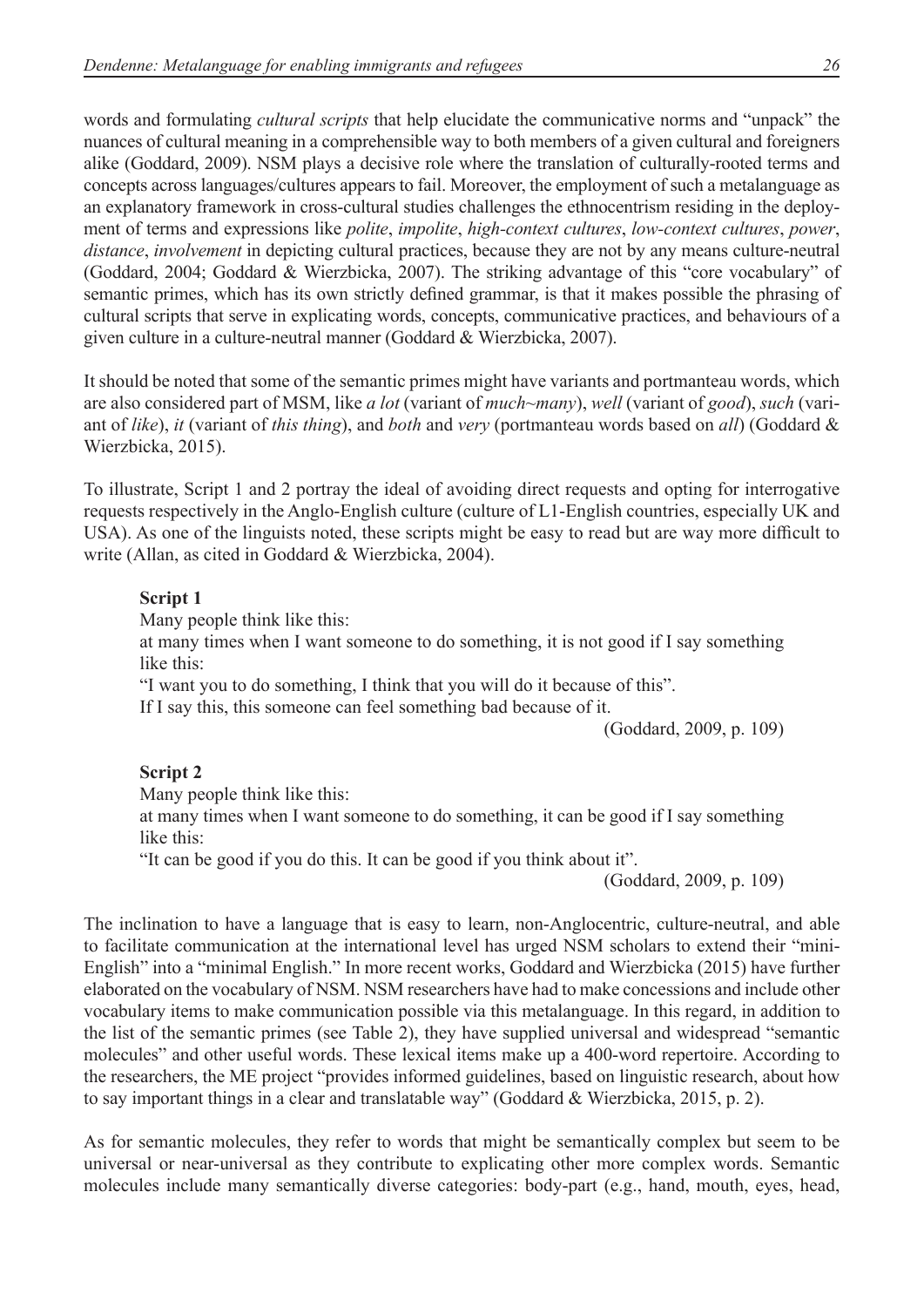words and formulating *cultural scripts* that help elucidate the communicative norms and "unpack" the nuances of cultural meaning in a comprehensible way to both members of a given cultural and foreigners alike (Goddard, 2009). NSM plays a decisive role where the translation of culturally-rooted terms and concepts across languages/cultures appears to fail. Moreover, the employment of such a metalanguage as an explanatory framework in cross-cultural studies challenges the ethnocentrism residing in the deployment of terms and expressions like *polite*, *impolite*, *high-context cultures*, *low-context cultures*, *power*, *distance*, *involvement* in depicting cultural practices, because they are not by any means culture-neutral (Goddard, 2004; Goddard & Wierzbicka, 2007). The striking advantage of this "core vocabulary" of semantic primes, which has its own strictly defined grammar, is that it makes possible the phrasing of cultural scripts that serve in explicating words, concepts, communicative practices, and behaviours of a given culture in a culture-neutral manner (Goddard & Wierzbicka, 2007).

It should be noted that some of the semantic primes might have variants and portmanteau words, which are also considered part of MSM, like *a lot* (variant of *much~many*), *well* (variant of *good*), *such* (variant of *like*), *it* (variant of *this thing*), and *both* and *very* (portmanteau words based on *all*) (Goddard & Wierzbicka, 2015).

To illustrate, Script 1 and 2 portray the ideal of avoiding direct requests and opting for interrogative requests respectively in the Anglo-English culture (culture of L1-English countries, especially UK and USA). As one of the linguists noted, these scripts might be easy to read but are way more difficult to write (Allan, as cited in Goddard & Wierzbicka, 2004).

#### **Script 1**

Many people think like this:

at many times when I want someone to do something, it is not good if I say something like this:

"I want you to do something, I think that you will do it because of this".

If I say this, this someone can feel something bad because of it.

(Goddard, 2009, p. 109)

#### **Script 2**

Many people think like this:

at many times when I want someone to do something, it can be good if I say something like this:

"It can be good if you do this. It can be good if you think about it".

(Goddard, 2009, p. 109)

The inclination to have a language that is easy to learn, non-Anglocentric, culture-neutral, and able to facilitate communication at the international level has urged NSM scholars to extend their "mini-English" into a "minimal English." In more recent works, Goddard and Wierzbicka (2015) have further elaborated on the vocabulary of NSM. NSM researchers have had to make concessions and include other vocabulary items to make communication possible via this metalanguage. In this regard, in addition to the list of the semantic primes (see Table 2), they have supplied universal and widespread "semantic molecules" and other useful words. These lexical items make up a 400-word repertoire. According to the researchers, the ME project "provides informed guidelines, based on linguistic research, about how to say important things in a clear and translatable way" (Goddard & Wierzbicka, 2015, p. 2).

As for semantic molecules, they refer to words that might be semantically complex but seem to be universal or near-universal as they contribute to explicating other more complex words. Semantic molecules include many semantically diverse categories: body-part (e.g., hand, mouth, eyes, head,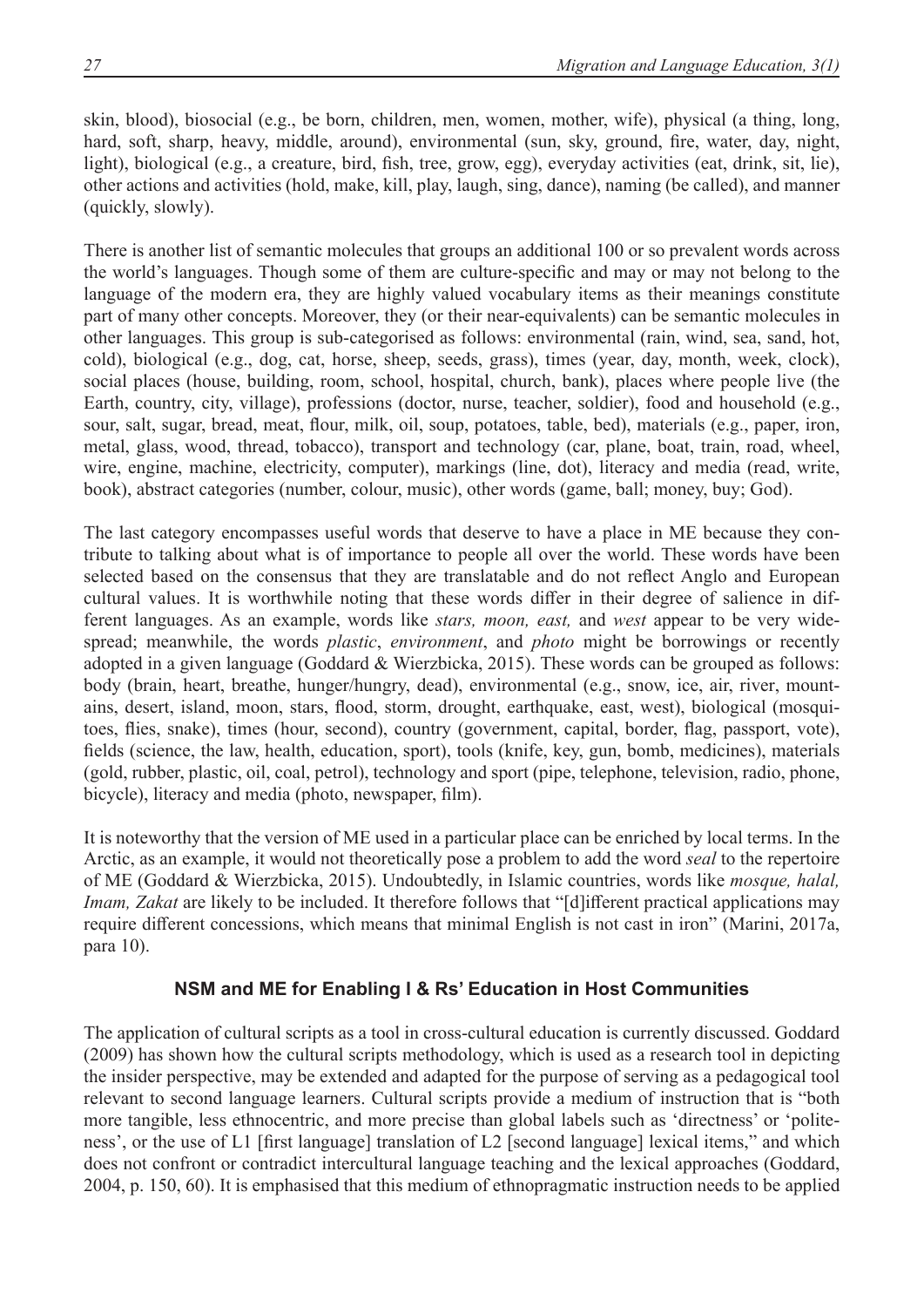skin, blood), biosocial (e.g., be born, children, men, women, mother, wife), physical (a thing, long, hard, soft, sharp, heavy, middle, around), environmental (sun, sky, ground, fire, water, day, night, light), biological (e.g., a creature, bird, fish, tree, grow, egg), everyday activities (eat, drink, sit, lie), other actions and activities (hold, make, kill, play, laugh, sing, dance), naming (be called), and manner (quickly, slowly).

There is another list of semantic molecules that groups an additional 100 or so prevalent words across the world's languages. Though some of them are culture-specific and may or may not belong to the language of the modern era, they are highly valued vocabulary items as their meanings constitute part of many other concepts. Moreover, they (or their near-equivalents) can be semantic molecules in other languages. This group is sub-categorised as follows: environmental (rain, wind, sea, sand, hot, cold), biological (e.g., dog, cat, horse, sheep, seeds, grass), times (year, day, month, week, clock), social places (house, building, room, school, hospital, church, bank), places where people live (the Earth, country, city, village), professions (doctor, nurse, teacher, soldier), food and household (e.g., sour, salt, sugar, bread, meat, flour, milk, oil, soup, potatoes, table, bed), materials (e.g., paper, iron, metal, glass, wood, thread, tobacco), transport and technology (car, plane, boat, train, road, wheel, wire, engine, machine, electricity, computer), markings (line, dot), literacy and media (read, write, book), abstract categories (number, colour, music), other words (game, ball; money, buy; God).

The last category encompasses useful words that deserve to have a place in ME because they contribute to talking about what is of importance to people all over the world. These words have been selected based on the consensus that they are translatable and do not reflect Anglo and European cultural values. It is worthwhile noting that these words differ in their degree of salience in different languages. As an example, words like *stars, moon, east,* and *west* appear to be very widespread; meanwhile, the words *plastic*, *environment*, and *photo* might be borrowings or recently adopted in a given language (Goddard & Wierzbicka, 2015). These words can be grouped as follows: body (brain, heart, breathe, hunger/hungry, dead), environmental (e.g., snow, ice, air, river, mountains, desert, island, moon, stars, flood, storm, drought, earthquake, east, west), biological (mosquitoes, flies, snake), times (hour, second), country (government, capital, border, flag, passport, vote), fields (science, the law, health, education, sport), tools (knife, key, gun, bomb, medicines), materials (gold, rubber, plastic, oil, coal, petrol), technology and sport (pipe, telephone, television, radio, phone, bicycle), literacy and media (photo, newspaper, film).

It is noteworthy that the version of ME used in a particular place can be enriched by local terms. In the Arctic, as an example, it would not theoretically pose a problem to add the word *seal* to the repertoire of ME (Goddard & Wierzbicka, 2015). Undoubtedly, in Islamic countries, words like *mosque, halal, Imam, Zakat* are likely to be included. It therefore follows that "[d]ifferent practical applications may require different concessions, which means that minimal English is not cast in iron" (Marini, 2017a, para 10).

## **NSM and ME for Enabling I & Rs' Education in Host Communities**

The application of cultural scripts as a tool in cross-cultural education is currently discussed. Goddard (2009) has shown how the cultural scripts methodology, which is used as a research tool in depicting the insider perspective, may be extended and adapted for the purpose of serving as a pedagogical tool relevant to second language learners. Cultural scripts provide a medium of instruction that is "both more tangible, less ethnocentric, and more precise than global labels such as 'directness' or 'politeness', or the use of L1 [first language] translation of L2 [second language] lexical items," and which does not confront or contradict intercultural language teaching and the lexical approaches (Goddard, 2004, p. 150, 60). It is emphasised that this medium of ethnopragmatic instruction needs to be applied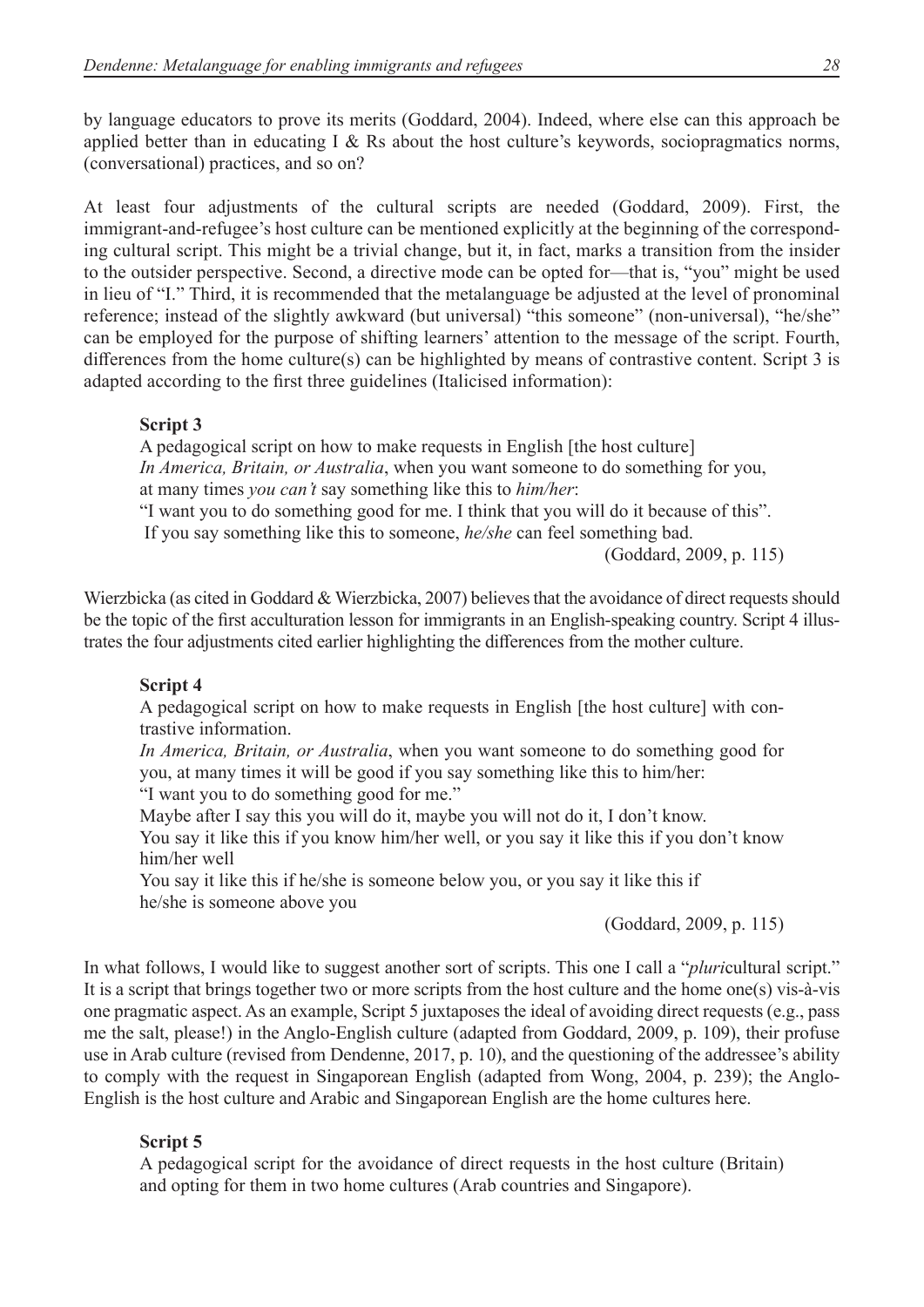by language educators to prove its merits (Goddard, 2004). Indeed, where else can this approach be applied better than in educating I & Rs about the host culture's keywords, sociopragmatics norms, (conversational) practices, and so on?

At least four adjustments of the cultural scripts are needed (Goddard, 2009). First, the immigrant-and-refugee's host culture can be mentioned explicitly at the beginning of the corresponding cultural script. This might be a trivial change, but it, in fact, marks a transition from the insider to the outsider perspective. Second, a directive mode can be opted for—that is, "you" might be used in lieu of "I." Third, it is recommended that the metalanguage be adjusted at the level of pronominal reference; instead of the slightly awkward (but universal) "this someone" (non-universal), "he/she" can be employed for the purpose of shifting learners' attention to the message of the script. Fourth, differences from the home culture(s) can be highlighted by means of contrastive content. Script 3 is adapted according to the first three guidelines (Italicised information):

#### **Script 3**

A pedagogical script on how to make requests in English [the host culture] *In America, Britain, or Australia*, when you want someone to do something for you, at many times *you can't* say something like this to *him/her*: "I want you to do something good for me. I think that you will do it because of this".

If you say something like this to someone, *he/she* can feel something bad.

(Goddard, 2009, p. 115)

Wierzbicka (as cited in Goddard & Wierzbicka, 2007) believes that the avoidance of direct requests should be the topic of the first acculturation lesson for immigrants in an English-speaking country. Script 4 illustrates the four adjustments cited earlier highlighting the differences from the mother culture.

## **Script 4**

A pedagogical script on how to make requests in English [the host culture] with contrastive information.

*In America, Britain, or Australia*, when you want someone to do something good for you, at many times it will be good if you say something like this to him/her: "I want you to do something good for me."

Maybe after I say this you will do it, maybe you will not do it, I don't know. You say it like this if you know him/her well, or you say it like this if you don't know him/her well

You say it like this if he/she is someone below you, or you say it like this if he/she is someone above you

(Goddard, 2009, p. 115)

In what follows, I would like to suggest another sort of scripts. This one I call a "*pluri*cultural script." It is a script that brings together two or more scripts from the host culture and the home one(s) vis-à-vis one pragmatic aspect. As an example, Script 5 juxtaposes the ideal of avoiding direct requests (e.g., pass me the salt, please!) in the Anglo-English culture (adapted from Goddard, 2009, p. 109), their profuse use in Arab culture (revised from Dendenne, 2017, p. 10), and the questioning of the addressee's ability to comply with the request in Singaporean English (adapted from Wong, 2004, p. 239); the Anglo-English is the host culture and Arabic and Singaporean English are the home cultures here.

## **Script 5**

A pedagogical script for the avoidance of direct requests in the host culture (Britain) and opting for them in two home cultures (Arab countries and Singapore).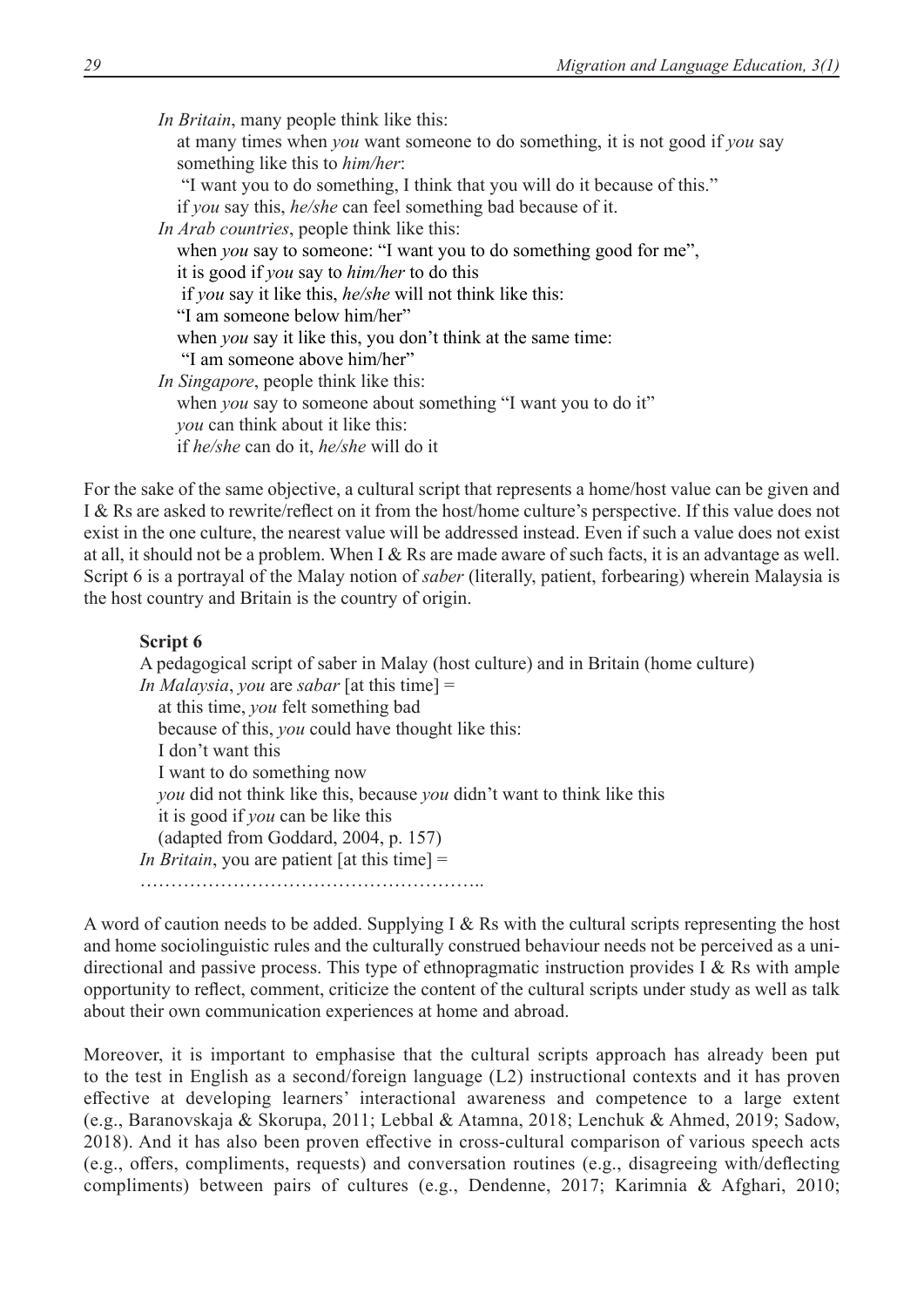*In Britain*, many people think like this: at many times when *you* want someone to do something, it is not good if *you* say something like this to *him/her*: "I want you to do something, I think that you will do it because of this." if *you* say this, *he/she* can feel something bad because of it. *In Arab countries*, people think like this: when *you* say to someone: "I want you to do something good for me", it is good if *you* say to *him/her* to do this if *you* say it like this, *he/she* will not think like this: "I am someone below him/her" when *you* say it like this, you don't think at the same time: "I am someone above him/her" *In Singapore*, people think like this: when *you* say to someone about something "I want you to do it"  *you* can think about it like this: if *he/she* can do it, *he/she* will do it

For the sake of the same objective, a cultural script that represents a home/host value can be given and I & Rs are asked to rewrite/reflect on it from the host/home culture's perspective. If this value does not exist in the one culture, the nearest value will be addressed instead. Even if such a value does not exist at all, it should not be a problem. When I & Rs are made aware of such facts, it is an advantage as well. Script 6 is a portrayal of the Malay notion of *saber* (literally, patient, forbearing) wherein Malaysia is the host country and Britain is the country of origin.

# **Script 6**

A pedagogical script of saber in Malay (host culture) and in Britain (home culture) *In Malaysia*, *you* are *sabar* [at this time] = at this time, *you* felt something bad because of this, *you* could have thought like this: I don't want this I want to do something now *you* did not think like this, because *you* didn't want to think like this it is good if *you* can be like this (adapted from Goddard, 2004, p. 157) *In Britain*, you are patient [at this time] = ………………………………………………..

A word of caution needs to be added. Supplying I & Rs with the cultural scripts representing the host and home sociolinguistic rules and the culturally construed behaviour needs not be perceived as a unidirectional and passive process. This type of ethnopragmatic instruction provides I & Rs with ample opportunity to reflect, comment, criticize the content of the cultural scripts under study as well as talk about their own communication experiences at home and abroad.

Moreover, it is important to emphasise that the cultural scripts approach has already been put to the test in English as a second/foreign language (L2) instructional contexts and it has proven effective at developing learners' interactional awareness and competence to a large extent (e.g., Baranovskaja & Skorupa, 2011; Lebbal & Atamna, 2018; Lenchuk & Ahmed, 2019; Sadow, 2018). And it has also been proven effective in cross-cultural comparison of various speech acts (e.g., offers, compliments, requests) and conversation routines (e.g., disagreeing with/deflecting compliments) between pairs of cultures (e.g., Dendenne, 2017; Karimnia & Afghari, 2010;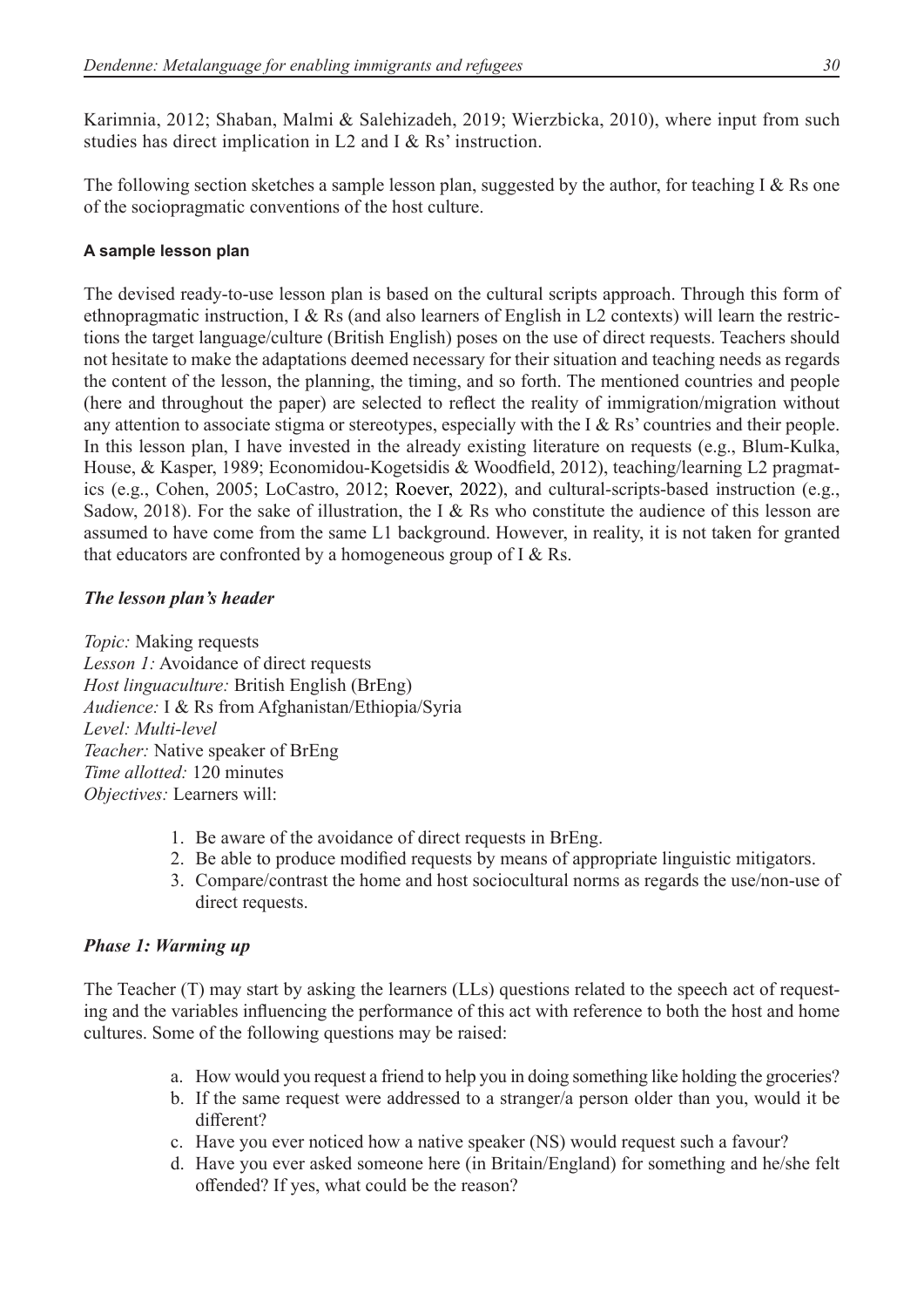Karimnia, 2012; Shaban, Malmi & Salehizadeh, 2019; Wierzbicka, 2010), where input from such studies has direct implication in L2 and I & Rs' instruction.

The following section sketches a sample lesson plan, suggested by the author, for teaching I & Rs one of the sociopragmatic conventions of the host culture.

# **A sample lesson plan**

The devised ready-to-use lesson plan is based on the cultural scripts approach. Through this form of ethnopragmatic instruction, I & Rs (and also learners of English in L2 contexts) will learn the restrictions the target language/culture (British English) poses on the use of direct requests. Teachers should not hesitate to make the adaptations deemed necessary for their situation and teaching needs as regards the content of the lesson, the planning, the timing, and so forth. The mentioned countries and people (here and throughout the paper) are selected to reflect the reality of immigration/migration without any attention to associate stigma or stereotypes, especially with the I & Rs' countries and their people. In this lesson plan, I have invested in the already existing literature on requests (e.g., Blum-Kulka, House, & Kasper, 1989; Economidou-Kogetsidis & Woodfield, 2012), teaching/learning L2 pragmatics (e.g., Cohen, 2005; LoCastro, 2012; Roever, 2022), and cultural-scripts-based instruction (e.g., Sadow, 2018). For the sake of illustration, the I & Rs who constitute the audience of this lesson are assumed to have come from the same L1 background. However, in reality, it is not taken for granted that educators are confronted by a homogeneous group of  $I \& Rs$ .

# *The lesson plan's header*

*Topic:* Making requests *Lesson 1:* Avoidance of direct requests *Host linguaculture:* British English (BrEng) *Audience:* I & Rs from Afghanistan/Ethiopia/Syria *Level: Multi-level Teacher:* Native speaker of BrEng *Time allotted:* 120 minutes *Objectives:* Learners will:

- 1. Be aware of the avoidance of direct requests in BrEng.
- 2. Be able to produce modified requests by means of appropriate linguistic mitigators.
- 3. Compare/contrast the home and host sociocultural norms as regards the use/non-use of direct requests.

# *Phase 1: Warming up*

The Teacher (T) may start by asking the learners (LLs) questions related to the speech act of requesting and the variables influencing the performance of this act with reference to both the host and home cultures. Some of the following questions may be raised:

- a. How would you request a friend to help you in doing something like holding the groceries?
- b. If the same request were addressed to a stranger/a person older than you, would it be different?
- c. Have you ever noticed how a native speaker (NS) would request such a favour?
- d. Have you ever asked someone here (in Britain/England) for something and he/she felt offended? If yes, what could be the reason?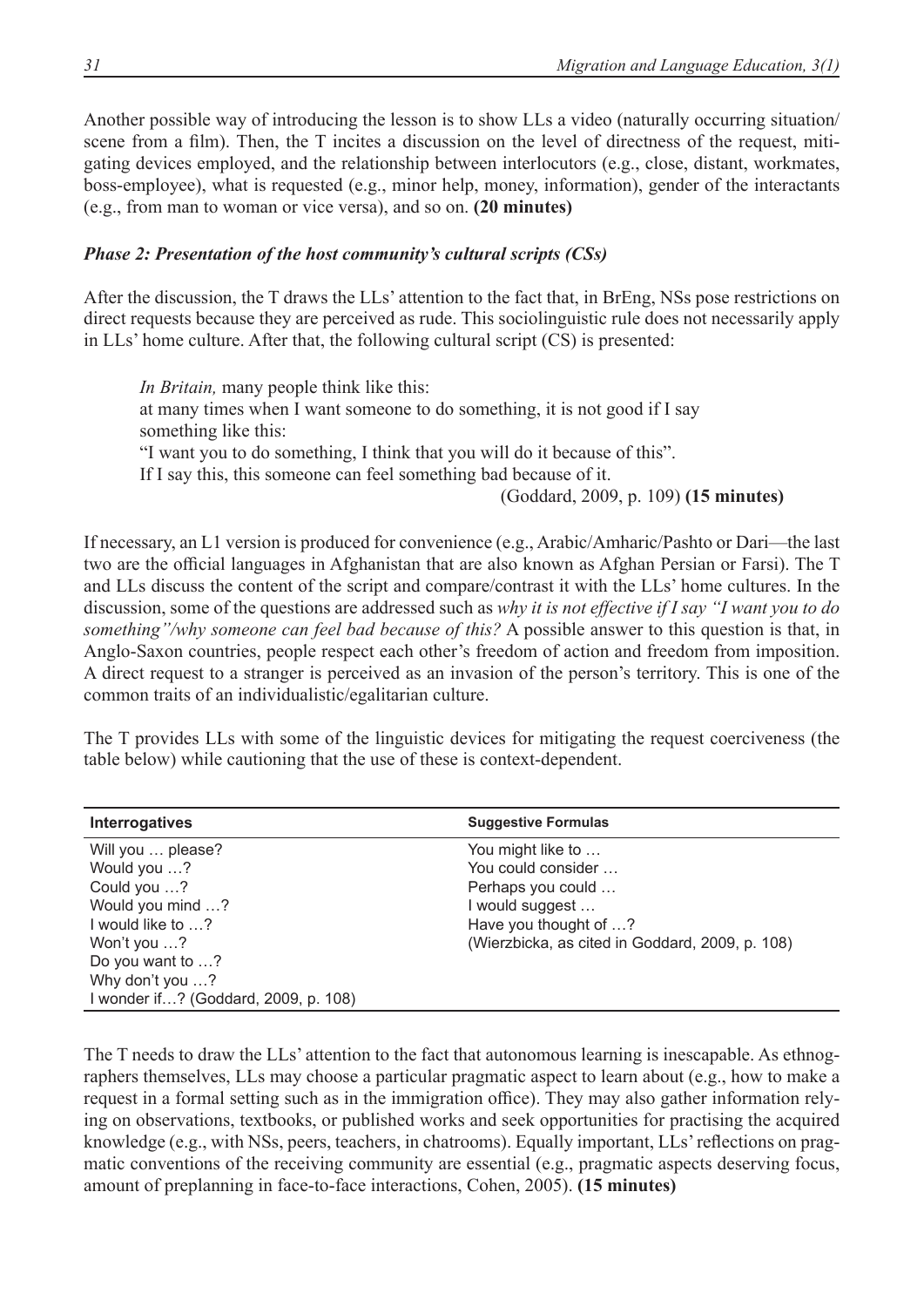Another possible way of introducing the lesson is to show LLs a video (naturally occurring situation/ scene from a film). Then, the T incites a discussion on the level of directness of the request, mitigating devices employed, and the relationship between interlocutors (e.g., close, distant, workmates, boss-employee), what is requested (e.g., minor help, money, information), gender of the interactants (e.g., from man to woman or vice versa), and so on. **(20 minutes)**

## *Phase 2: Presentation of the host community's cultural scripts (CSs)*

After the discussion, the T draws the LLs' attention to the fact that, in BrEng, NSs pose restrictions on direct requests because they are perceived as rude. This sociolinguistic rule does not necessarily apply in LLs' home culture. After that, the following cultural script (CS) is presented:

*In Britain,* many people think like this: at many times when I want someone to do something, it is not good if I say something like this: "I want you to do something, I think that you will do it because of this". If I say this, this someone can feel something bad because of it. (Goddard, 2009, p. 109) **(15 minutes)**

If necessary, an L1 version is produced for convenience (e.g., Arabic/Amharic/Pashto or Dari—the last two are the official languages in Afghanistan that are also known as Afghan Persian or Farsi). The T and LLs discuss the content of the script and compare/contrast it with the LLs' home cultures. In the discussion, some of the questions are addressed such as *why it is not effective if I say "I want you to do something"/why someone can feel bad because of this?* A possible answer to this question is that, in Anglo-Saxon countries, people respect each other's freedom of action and freedom from imposition. A direct request to a stranger is perceived as an invasion of the person's territory. This is one of the common traits of an individualistic/egalitarian culture.

The T provides LLs with some of the linguistic devices for mitigating the request coerciveness (the table below) while cautioning that the use of these is context-dependent.

| <b>Suggestive Formulas</b><br><b>Interrogatives</b><br>Will you  please?<br>You might like to<br>You could consider<br>Would you ?                                                                                             |  |
|--------------------------------------------------------------------------------------------------------------------------------------------------------------------------------------------------------------------------------|--|
|                                                                                                                                                                                                                                |  |
| Could you ?<br>Perhaps you could<br>Would you mind ?<br>I would suggest<br>Have you thought of ?<br>I would like to ?<br>(Wierzbicka, as cited in Goddard, 2009, p. 108)<br>Won't you ?<br>Do you want to ?<br>Why don't you ? |  |
| I wonder if? (Goddard, 2009, p. 108)                                                                                                                                                                                           |  |

The T needs to draw the LLs' attention to the fact that autonomous learning is inescapable. As ethnographers themselves, LLs may choose a particular pragmatic aspect to learn about (e.g., how to make a request in a formal setting such as in the immigration office). They may also gather information relying on observations, textbooks, or published works and seek opportunities for practising the acquired knowledge (e.g., with NSs, peers, teachers, in chatrooms). Equally important, LLs'reflections on pragmatic conventions of the receiving community are essential (e.g., pragmatic aspects deserving focus, amount of preplanning in face-to-face interactions, Cohen, 2005). **(15 minutes)**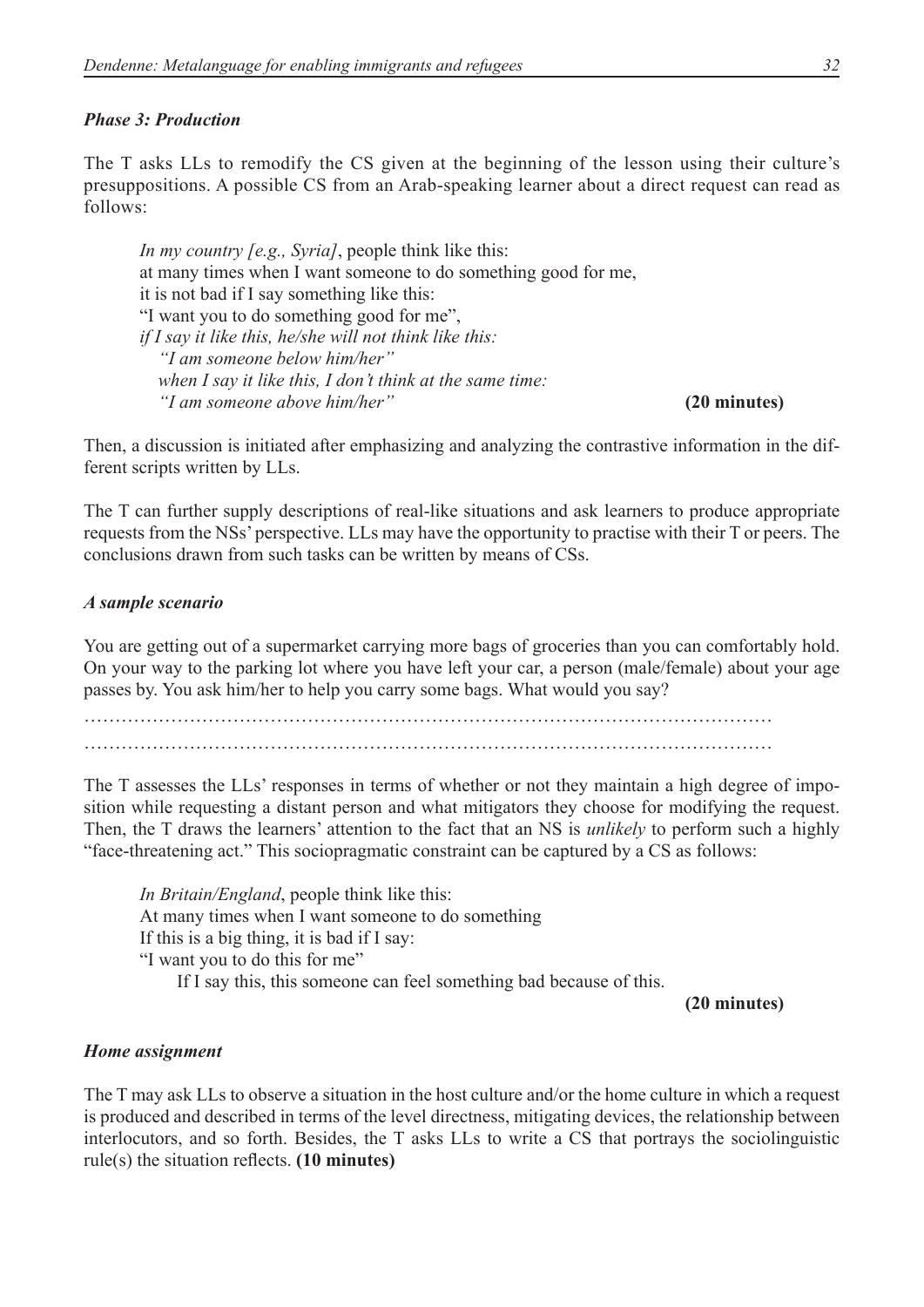#### *Phase 3: Production*

The T asks LLs to remodify the CS given at the beginning of the lesson using their culture's presuppositions. A possible CS from an Arab-speaking learner about a direct request can read as follows:

*In my country [e.g., Syria]*, people think like this: at many times when I want someone to do something good for me, it is not bad if I say something like this: "I want you to do something good for me", *if I say it like this, he/she will not think like this: "I am someone below him/her" when I say it like this, I don't think at the same time: "I am someone above him/her"* **(20 minutes)**

Then, a discussion is initiated after emphasizing and analyzing the contrastive information in the different scripts written by LLs.

The T can further supply descriptions of real-like situations and ask learners to produce appropriate requests from the NSs' perspective. LLs may have the opportunity to practise with their T or peers. The conclusions drawn from such tasks can be written by means of CSs.

#### *A sample scenario*

You are getting out of a supermarket carrying more bags of groceries than you can comfortably hold. On your way to the parking lot where you have left your car, a person (male/female) about your age passes by. You ask him/her to help you carry some bags. What would you say?

………………………………………………………………………………………………… …………………………………………………………………………………………………

The T assesses the LLs' responses in terms of whether or not they maintain a high degree of imposition while requesting a distant person and what mitigators they choose for modifying the request. Then, the T draws the learners' attention to the fact that an NS is *unlikely* to perform such a highly "face-threatening act." This sociopragmatic constraint can be captured by a CS as follows:

*In Britain/England*, people think like this: At many times when I want someone to do something If this is a big thing, it is bad if I say: "I want you to do this for me" If I say this, this someone can feel something bad because of this.

**(20 minutes)**

#### *Home assignment*

The T may ask LLs to observe a situation in the host culture and/or the home culture in which a request is produced and described in terms of the level directness, mitigating devices, the relationship between interlocutors, and so forth. Besides, the T asks LLs to write a CS that portrays the sociolinguistic rule(s) the situation reflects. **(10 minutes)**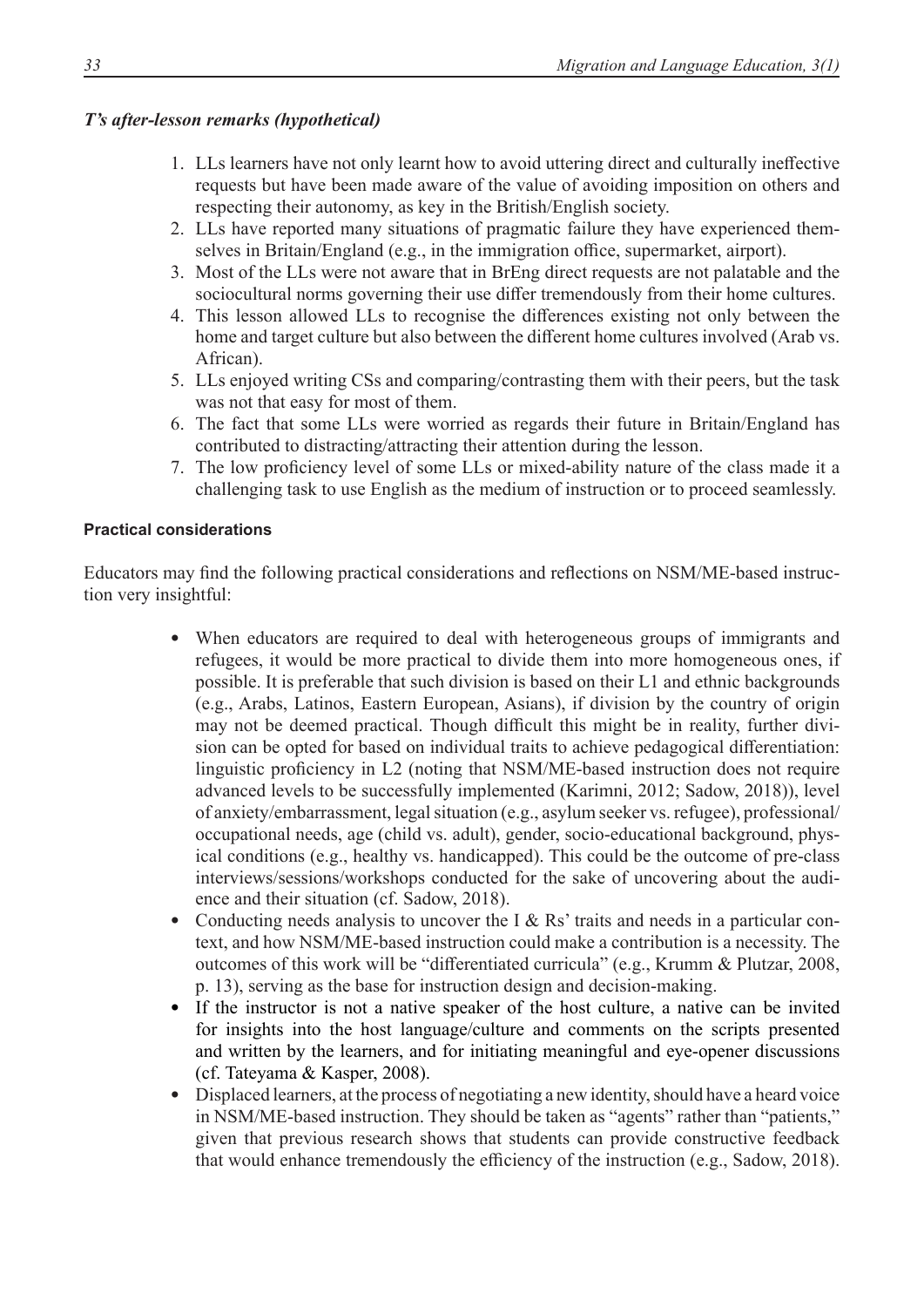# *T's after-lesson remarks (hypothetical)*

- 1. LLs learners have not only learnt how to avoid uttering direct and culturally ineffective requests but have been made aware of the value of avoiding imposition on others and respecting their autonomy, as key in the British/English society.
- 2. LLs have reported many situations of pragmatic failure they have experienced themselves in Britain/England (e.g., in the immigration office, supermarket, airport).
- 3. Most of the LLs were not aware that in BrEng direct requests are not palatable and the sociocultural norms governing their use differ tremendously from their home cultures.
- 4. This lesson allowed LLs to recognise the differences existing not only between the home and target culture but also between the different home cultures involved (Arab vs. African).
- 5. LLs enjoyed writing CSs and comparing/contrasting them with their peers, but the task was not that easy for most of them.
- 6. The fact that some LLs were worried as regards their future in Britain/England has contributed to distracting/attracting their attention during the lesson.
- 7. The low proficiency level of some LLs or mixed-ability nature of the class made it a challenging task to use English as the medium of instruction or to proceed seamlessly.

## **Practical considerations**

Educators may find the following practical considerations and reflections on NSM/ME-based instruction very insightful:

- When educators are required to deal with heterogeneous groups of immigrants and refugees, it would be more practical to divide them into more homogeneous ones, if possible. It is preferable that such division is based on their L1 and ethnic backgrounds (e.g., Arabs, Latinos, Eastern European, Asians), if division by the country of origin may not be deemed practical. Though difficult this might be in reality, further division can be opted for based on individual traits to achieve pedagogical differentiation: linguistic proficiency in L2 (noting that NSM/ME-based instruction does not require advanced levels to be successfully implemented (Karimni, 2012; Sadow, 2018)), level of anxiety/embarrassment, legal situation (e.g., asylum seeker vs. refugee), professional/ occupational needs, age (child vs. adult), gender, socio-educational background, physical conditions (e.g., healthy vs. handicapped). This could be the outcome of pre-class interviews/sessions/workshops conducted for the sake of uncovering about the audience and their situation (cf. Sadow, 2018).
- Conducting needs analysis to uncover the I  $&$  Rs' traits and needs in a particular context, and how NSM/ME-based instruction could make a contribution is a necessity. The outcomes of this work will be "differentiated curricula" (e.g., Krumm & Plutzar, 2008, p. 13), serving as the base for instruction design and decision-making.
- If the instructor is not a native speaker of the host culture, a native can be invited for insights into the host language/culture and comments on the scripts presented and written by the learners, and for initiating meaningful and eye-opener discussions (cf. Tateyama & Kasper, 2008).
- Displaced learners, at the process of negotiating a new identity, should have a heard voice in NSM/ME-based instruction. They should be taken as "agents" rather than "patients," given that previous research shows that students can provide constructive feedback that would enhance tremendously the efficiency of the instruction (e.g., Sadow, 2018).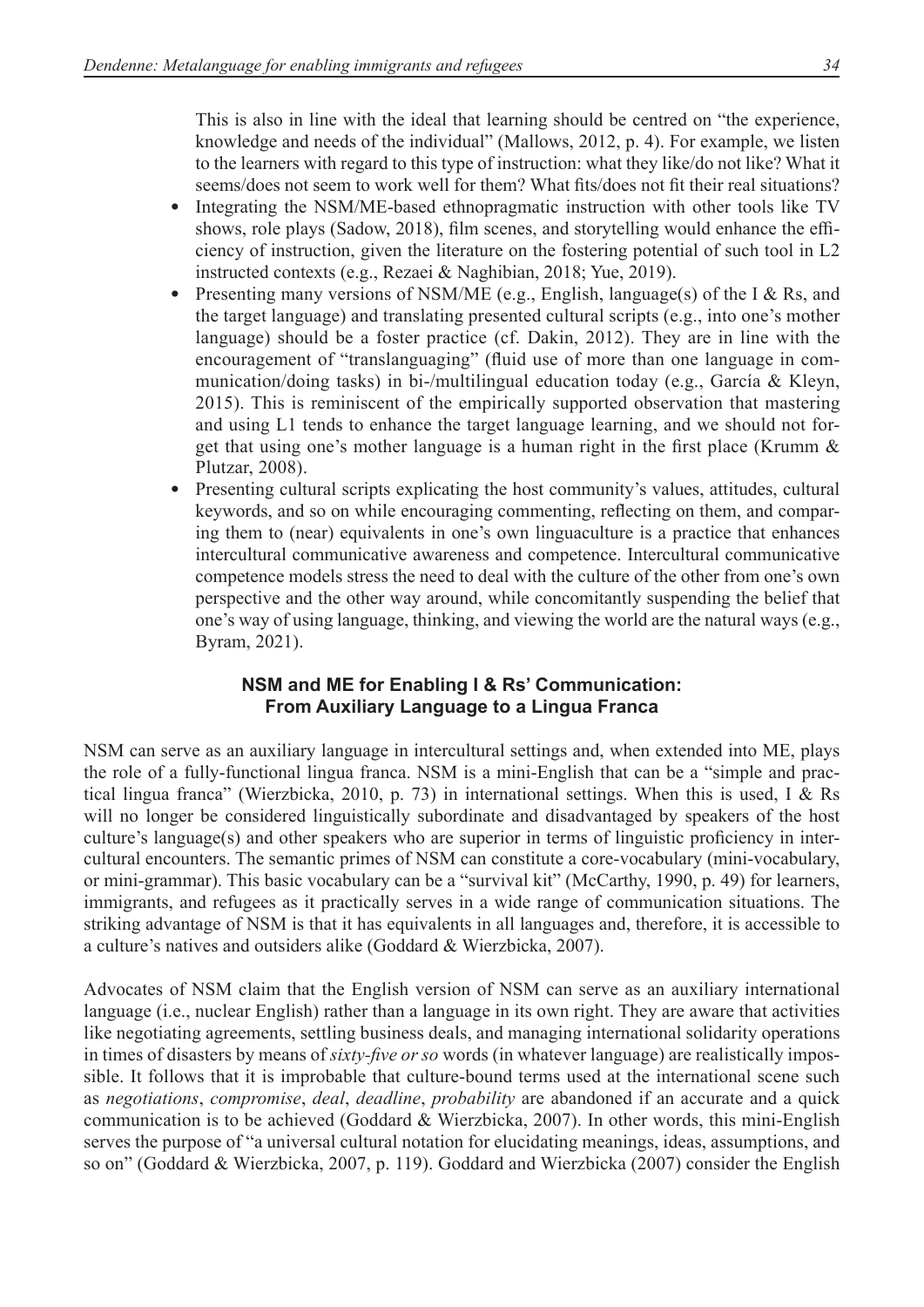This is also in line with the ideal that learning should be centred on "the experience, knowledge and needs of the individual" (Mallows, 2012, p. 4). For example, we listen to the learners with regard to this type of instruction: what they like/do not like? What it seems/does not seem to work well for them? What fits/does not fit their real situations?

- Integrating the NSM/ME-based ethnopragmatic instruction with other tools like TV shows, role plays (Sadow, 2018), film scenes, and storytelling would enhance the efficiency of instruction, given the literature on the fostering potential of such tool in L2 instructed contexts (e.g., Rezaei & Naghibian, 2018; Yue, 2019).
- Presenting many versions of NSM/ME (e.g., English, language(s) of the I & Rs, and the target language) and translating presented cultural scripts (e.g., into one's mother language) should be a foster practice (cf. Dakin, 2012). They are in line with the encouragement of "translanguaging" (fluid use of more than one language in communication/doing tasks) in bi-/multilingual education today (e.g., García & Kleyn, 2015). This is reminiscent of the empirically supported observation that mastering and using L1 tends to enhance the target language learning, and we should not forget that using one's mother language is a human right in the first place (Krumm & Plutzar, 2008).
- Presenting cultural scripts explicating the host community's values, attitudes, cultural keywords, and so on while encouraging commenting, reflecting on them, and comparing them to (near) equivalents in one's own linguaculture is a practice that enhances intercultural communicative awareness and competence. Intercultural communicative competence models stress the need to deal with the culture of the other from one's own perspective and the other way around, while concomitantly suspending the belief that one's way of using language, thinking, and viewing the world are the natural ways (e.g., Byram, 2021).

# **NSM and ME for Enabling I & Rs' Communication: From Auxiliary Language to a Lingua Franca**

NSM can serve as an auxiliary language in intercultural settings and, when extended into ME, plays the role of a fully-functional lingua franca. NSM is a mini-English that can be a "simple and practical lingua franca" (Wierzbicka, 2010, p. 73) in international settings. When this is used, I & Rs will no longer be considered linguistically subordinate and disadvantaged by speakers of the host culture's language(s) and other speakers who are superior in terms of linguistic proficiency in intercultural encounters. The semantic primes of NSM can constitute a core-vocabulary (mini-vocabulary, or mini-grammar). This basic vocabulary can be a "survival kit" (McCarthy, 1990, p. 49) for learners, immigrants, and refugees as it practically serves in a wide range of communication situations. The striking advantage of NSM is that it has equivalents in all languages and, therefore, it is accessible to a culture's natives and outsiders alike (Goddard & Wierzbicka, 2007).

Advocates of NSM claim that the English version of NSM can serve as an auxiliary international language (i.e., nuclear English) rather than a language in its own right. They are aware that activities like negotiating agreements, settling business deals, and managing international solidarity operations in times of disasters by means of *sixty-five or so* words (in whatever language) are realistically impossible. It follows that it is improbable that culture-bound terms used at the international scene such as *negotiations*, *compromise*, *deal*, *deadline*, *probability* are abandoned if an accurate and a quick communication is to be achieved (Goddard & Wierzbicka, 2007). In other words, this mini-English serves the purpose of "a universal cultural notation for elucidating meanings, ideas, assumptions, and so on" (Goddard & Wierzbicka, 2007, p. 119). Goddard and Wierzbicka (2007) consider the English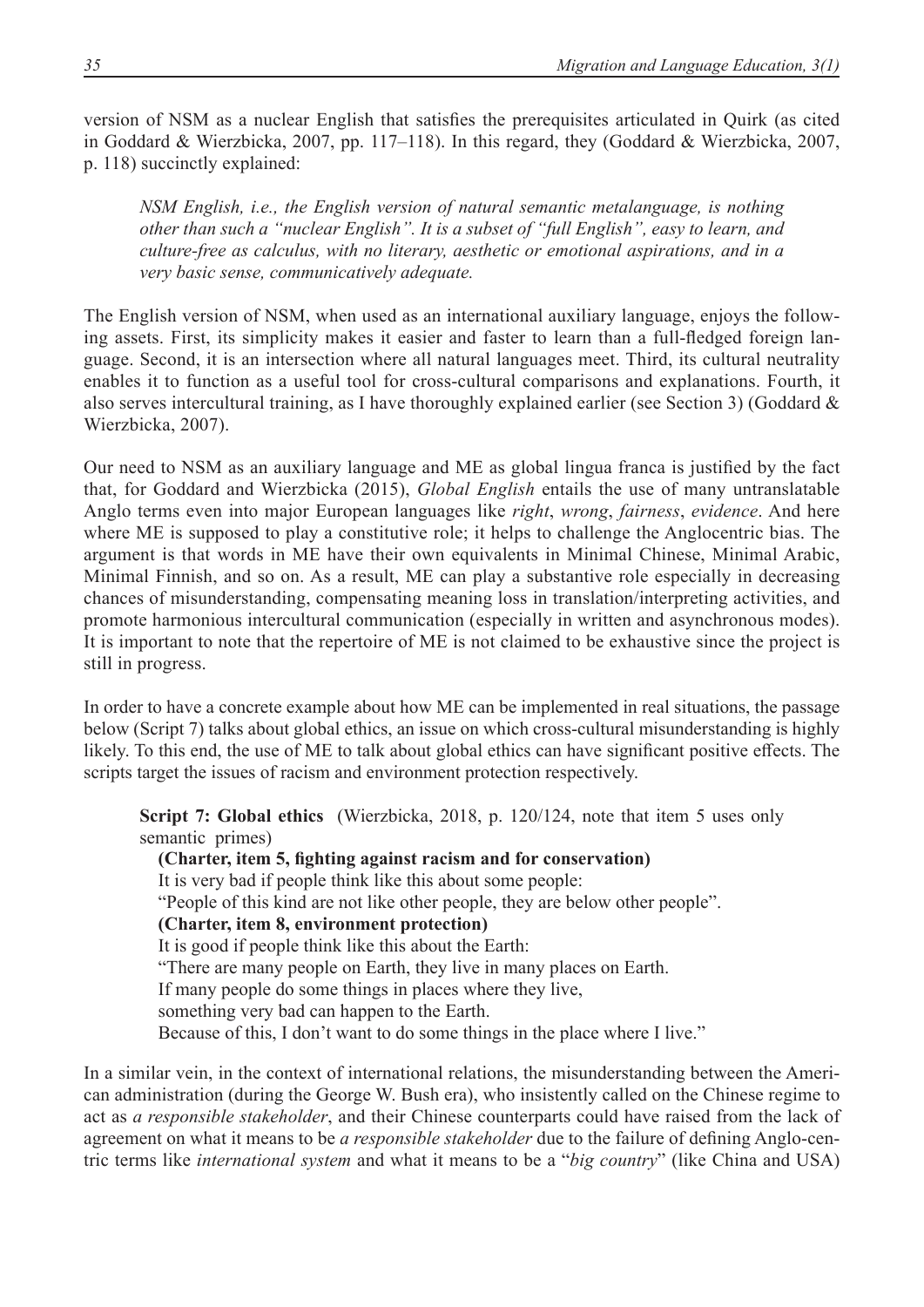version of NSM as a nuclear English that satisfies the prerequisites articulated in Quirk (as cited in Goddard & Wierzbicka, 2007, pp. 117–118). In this regard, they (Goddard & Wierzbicka, 2007, p. 118) succinctly explained:

*NSM English, i.e., the English version of natural semantic metalanguage, is nothing other than such a "nuclear English". It is a subset of "full English", easy to learn, and culture-free as calculus, with no literary, aesthetic or emotional aspirations, and in a very basic sense, communicatively adequate.* 

The English version of NSM, when used as an international auxiliary language, enjoys the following assets. First, its simplicity makes it easier and faster to learn than a full-fledged foreign language. Second, it is an intersection where all natural languages meet. Third, its cultural neutrality enables it to function as a useful tool for cross-cultural comparisons and explanations. Fourth, it also serves intercultural training, as I have thoroughly explained earlier (see Section 3) (Goddard & Wierzbicka, 2007).

Our need to NSM as an auxiliary language and ME as global lingua franca is justified by the fact that, for Goddard and Wierzbicka (2015), *Global English* entails the use of many untranslatable Anglo terms even into major European languages like *right*, *wrong*, *fairness*, *evidence*. And here where ME is supposed to play a constitutive role; it helps to challenge the Anglocentric bias. The argument is that words in ME have their own equivalents in Minimal Chinese, Minimal Arabic, Minimal Finnish, and so on. As a result, ME can play a substantive role especially in decreasing chances of misunderstanding, compensating meaning loss in translation/interpreting activities, and promote harmonious intercultural communication (especially in written and asynchronous modes). It is important to note that the repertoire of ME is not claimed to be exhaustive since the project is still in progress.

In order to have a concrete example about how ME can be implemented in real situations, the passage below (Script 7) talks about global ethics, an issue on which cross-cultural misunderstanding is highly likely. To this end, the use of ME to talk about global ethics can have significant positive effects. The scripts target the issues of racism and environment protection respectively.

**Script 7: Global ethics** (Wierzbicka, 2018, p. 120/124, note that item 5 uses only semantic primes)

 **(Charter, item 5, fighting against racism and for conservation)** It is very bad if people think like this about some people: "People of this kind are not like other people, they are below other people".  **(Charter, item 8, environment protection)** It is good if people think like this about the Earth: "There are many people on Earth, they live in many places on Earth. If many people do some things in places where they live, something very bad can happen to the Earth. Because of this, I don't want to do some things in the place where I live."

In a similar vein, in the context of international relations, the misunderstanding between the American administration (during the George W. Bush era), who insistently called on the Chinese regime to act as *a responsible stakeholder*, and their Chinese counterparts could have raised from the lack of agreement on what it means to be *a responsible stakeholder* due to the failure of defining Anglo-centric terms like *international system* and what it means to be a "*big country*" (like China and USA)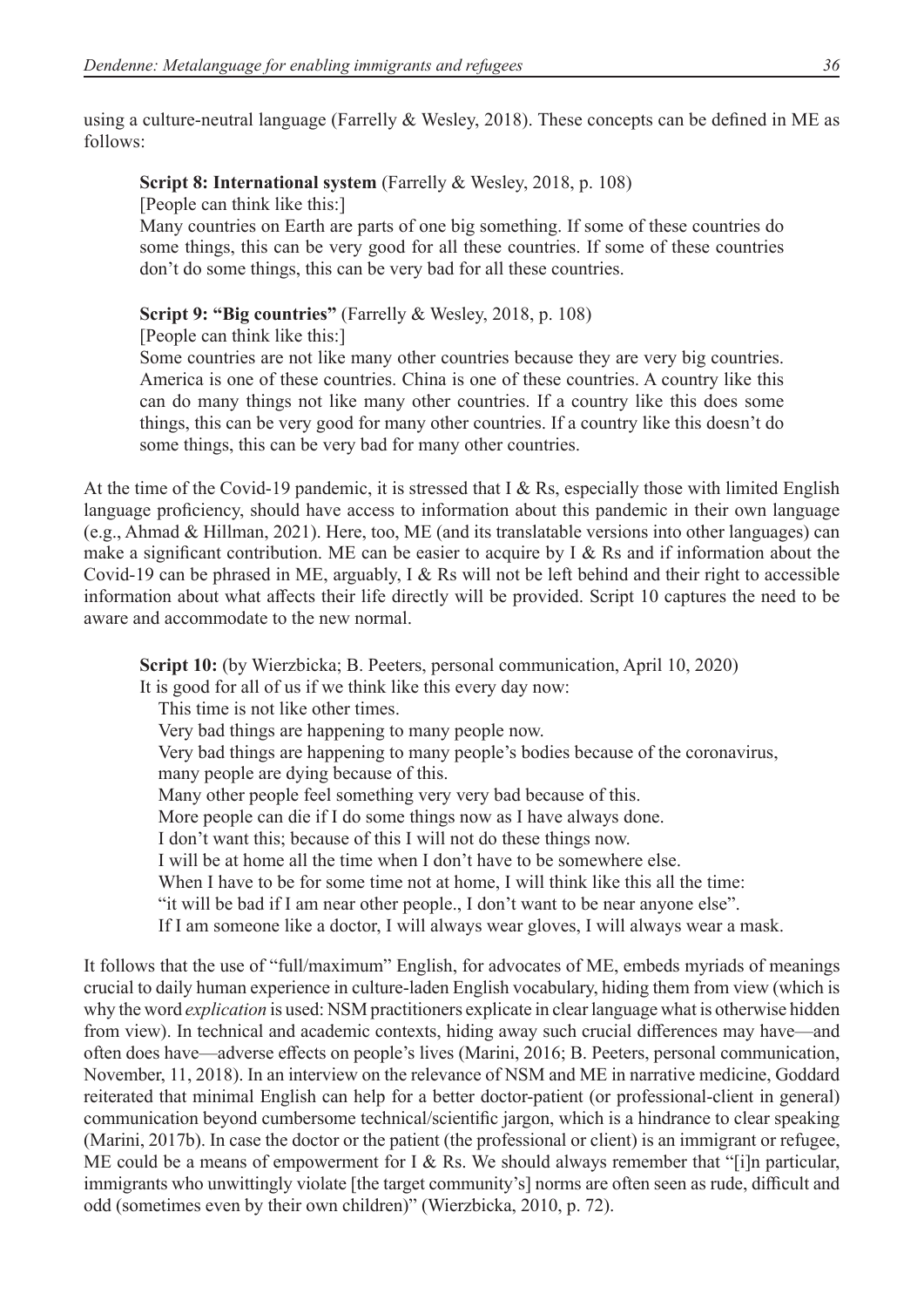using a culture-neutral language (Farrelly & Wesley, 2018). These concepts can be defined in ME as follows:

### **Script 8: International system** (Farrelly & Wesley, 2018, p. 108)

[People can think like this:]

Many countries on Earth are parts of one big something. If some of these countries do some things, this can be very good for all these countries. If some of these countries don't do some things, this can be very bad for all these countries.

**Script 9: "Big countries"** (Farrelly & Wesley, 2018, p. 108)

[People can think like this:]

Some countries are not like many other countries because they are very big countries. America is one of these countries. China is one of these countries. A country like this can do many things not like many other countries. If a country like this does some things, this can be very good for many other countries. If a country like this doesn't do some things, this can be very bad for many other countries.

At the time of the Covid-19 pandemic, it is stressed that I & Rs, especially those with limited English language proficiency, should have access to information about this pandemic in their own language (e.g., Ahmad & Hillman, 2021). Here, too, ME (and its translatable versions into other languages) can make a significant contribution. ME can be easier to acquire by I & Rs and if information about the Covid-19 can be phrased in ME, arguably, I & Rs will not be left behind and their right to accessible information about what affects their life directly will be provided. Script 10 captures the need to be aware and accommodate to the new normal.

**Script 10:** (by Wierzbicka; B. Peeters, personal communication, April 10, 2020) It is good for all of us if we think like this every day now: This time is not like other times. Very bad things are happening to many people now. Very bad things are happening to many people's bodies because of the coronavirus, many people are dying because of this. Many other people feel something very very bad because of this. More people can die if I do some things now as I have always done. I don't want this; because of this I will not do these things now. I will be at home all the time when I don't have to be somewhere else. When I have to be for some time not at home. I will think like this all the time: "it will be bad if I am near other people., I don't want to be near anyone else". If I am someone like a doctor, I will always wear gloves, I will always wear a mask.

It follows that the use of "full/maximum" English, for advocates of ME, embeds myriads of meanings crucial to daily human experience in culture-laden English vocabulary, hiding them from view (which is why the word *explication* is used: NSM practitioners explicate in clear language what is otherwise hidden from view). In technical and academic contexts, hiding away such crucial differences may have—and often does have—adverse effects on people's lives (Marini, 2016; B. Peeters, personal communication, November, 11, 2018). In an interview on the relevance of NSM and ME in narrative medicine, Goddard reiterated that minimal English can help for a better doctor-patient (or professional-client in general) communication beyond cumbersome technical/scientific jargon, which is a hindrance to clear speaking (Marini, 2017b). In case the doctor or the patient (the professional or client) is an immigrant or refugee, ME could be a means of empowerment for I & Rs. We should always remember that "[i]n particular, immigrants who unwittingly violate [the target community's] norms are often seen as rude, difficult and odd (sometimes even by their own children)" (Wierzbicka, 2010, p. 72).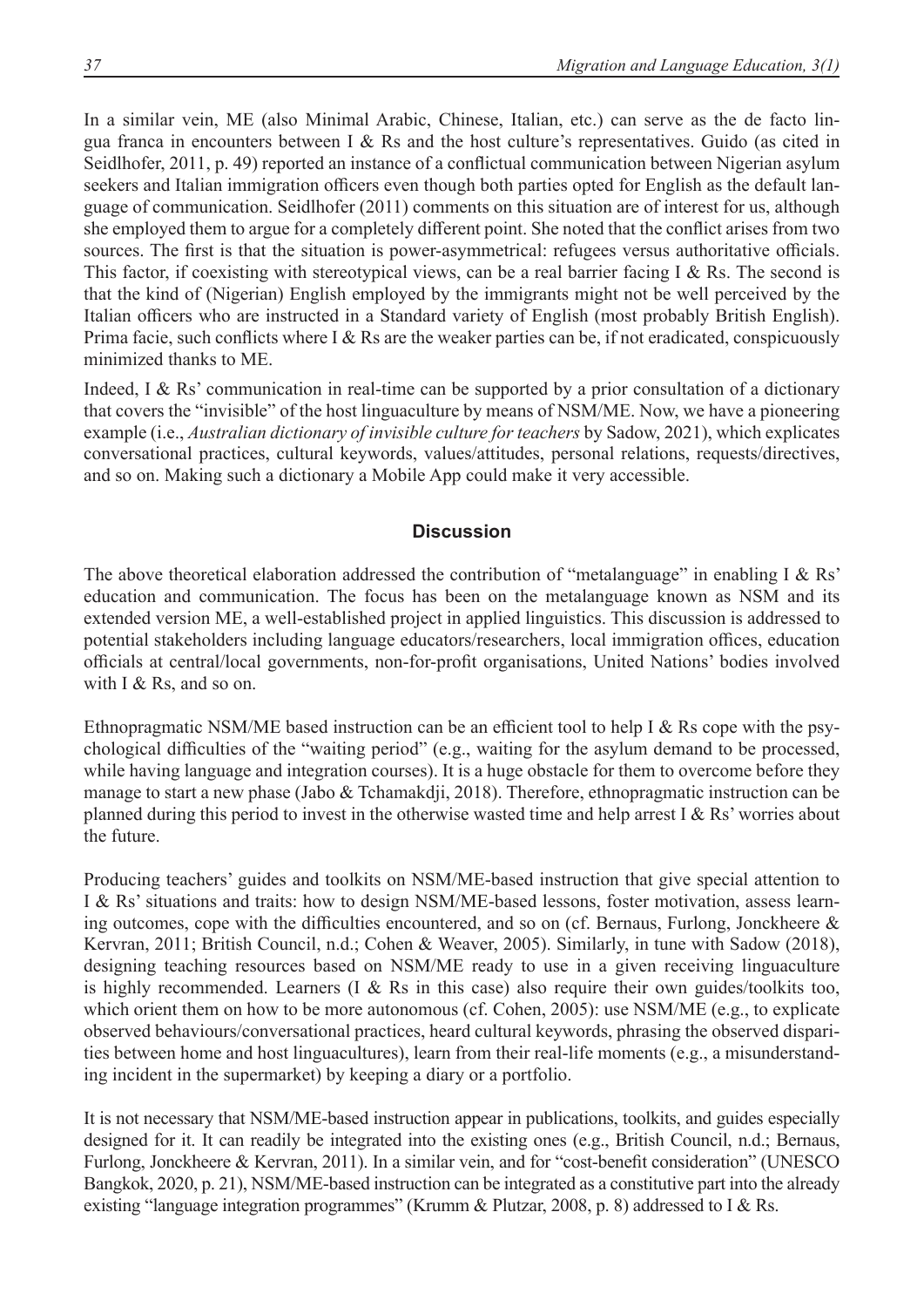In a similar vein, ME (also Minimal Arabic, Chinese, Italian, etc.) can serve as the de facto lingua franca in encounters between I & Rs and the host culture's representatives. Guido (as cited in Seidlhofer, 2011, p. 49) reported an instance of a conflictual communication between Nigerian asylum seekers and Italian immigration officers even though both parties opted for English as the default language of communication. Seidlhofer (2011) comments on this situation are of interest for us, although she employed them to argue for a completely different point. She noted that the conflict arises from two sources. The first is that the situation is power-asymmetrical: refugees versus authoritative officials. This factor, if coexisting with stereotypical views, can be a real barrier facing I & Rs. The second is that the kind of (Nigerian) English employed by the immigrants might not be well perceived by the Italian officers who are instructed in a Standard variety of English (most probably British English). Prima facie, such conflicts where I & Rs are the weaker parties can be, if not eradicated, conspicuously minimized thanks to ME.

Indeed, I & Rs' communication in real-time can be supported by a prior consultation of a dictionary that covers the "invisible" of the host linguaculture by means of NSM/ME. Now, we have a pioneering example (i.e., *Australian dictionary of invisible culture for teachers* by Sadow, 2021), which explicates conversational practices, cultural keywords, values/attitudes, personal relations, requests/directives, and so on. Making such a dictionary a Mobile App could make it very accessible.

## **Discussion**

The above theoretical elaboration addressed the contribution of "metalanguage" in enabling I & Rs' education and communication. The focus has been on the metalanguage known as NSM and its extended version ME, a well-established project in applied linguistics. This discussion is addressed to potential stakeholders including language educators/researchers, local immigration offices, education officials at central/local governments, non-for-profit organisations, United Nations' bodies involved with I & Rs, and so on.

Ethnopragmatic NSM/ME based instruction can be an efficient tool to help I & Rs cope with the psychological difficulties of the "waiting period" (e.g., waiting for the asylum demand to be processed, while having language and integration courses). It is a huge obstacle for them to overcome before they manage to start a new phase (Jabo & Tchamakdji, 2018). Therefore, ethnopragmatic instruction can be planned during this period to invest in the otherwise wasted time and help arrest I & Rs' worries about the future.

Producing teachers' guides and toolkits on NSM/ME-based instruction that give special attention to I & Rs' situations and traits: how to design NSM/ME-based lessons, foster motivation, assess learning outcomes, cope with the difficulties encountered, and so on (cf. Bernaus, Furlong, Jonckheere & Kervran, 2011; British Council, n.d.; Cohen & Weaver, 2005). Similarly, in tune with Sadow (2018), designing teaching resources based on NSM/ME ready to use in a given receiving linguaculture is highly recommended. Learners (I & Rs in this case) also require their own guides/toolkits too, which orient them on how to be more autonomous (cf. Cohen, 2005): use NSM/ME (e.g., to explicate observed behaviours/conversational practices, heard cultural keywords, phrasing the observed disparities between home and host linguacultures), learn from their real-life moments (e.g., a misunderstanding incident in the supermarket) by keeping a diary or a portfolio.

It is not necessary that NSM/ME-based instruction appear in publications, toolkits, and guides especially designed for it. It can readily be integrated into the existing ones (e.g., British Council, n.d.; Bernaus, Furlong, Jonckheere & Kervran, 2011). In a similar vein, and for "cost-benefit consideration" (UNESCO Bangkok, 2020, p. 21), NSM/ME-based instruction can be integrated as a constitutive part into the already existing "language integration programmes" (Krumm & Plutzar, 2008, p. 8) addressed to I & Rs.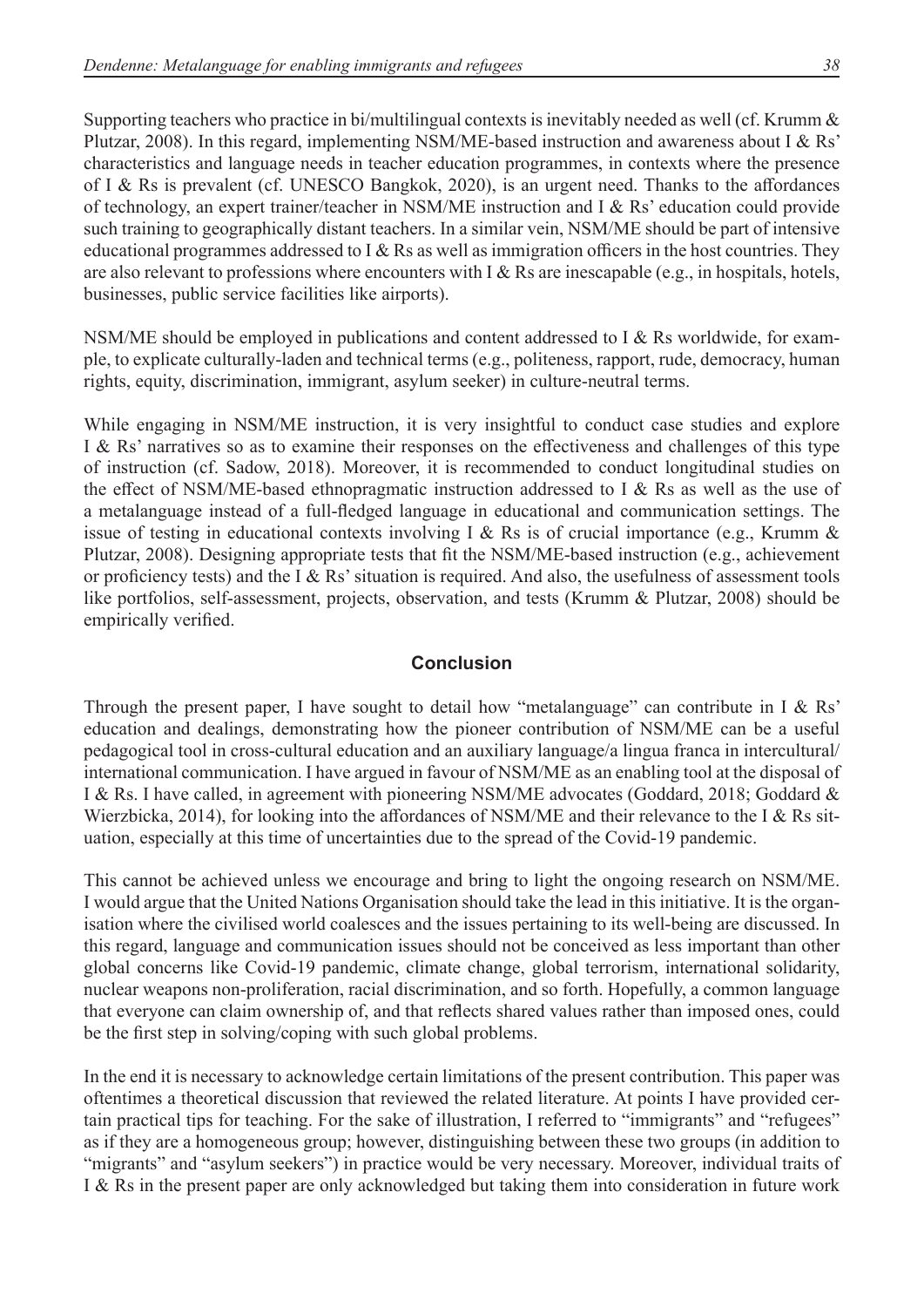Supporting teachers who practice in bi/multilingual contexts is inevitably needed as well (cf. Krumm & Plutzar, 2008). In this regard, implementing NSM/ME-based instruction and awareness about I & Rs' characteristics and language needs in teacher education programmes, in contexts where the presence of I & Rs is prevalent (cf. UNESCO Bangkok, 2020), is an urgent need. Thanks to the affordances of technology, an expert trainer/teacher in NSM/ME instruction and I & Rs' education could provide such training to geographically distant teachers. In a similar vein, NSM/ME should be part of intensive educational programmes addressed to I & Rs as well as immigration officers in the host countries. They are also relevant to professions where encounters with I & Rs are inescapable (e.g., in hospitals, hotels, businesses, public service facilities like airports).

NSM/ME should be employed in publications and content addressed to I & Rs worldwide, for example, to explicate culturally-laden and technical terms (e.g., politeness, rapport, rude, democracy, human rights, equity, discrimination, immigrant, asylum seeker) in culture-neutral terms.

While engaging in NSM/ME instruction, it is very insightful to conduct case studies and explore I & Rs' narratives so as to examine their responses on the effectiveness and challenges of this type of instruction (cf. Sadow, 2018). Moreover, it is recommended to conduct longitudinal studies on the effect of NSM/ME-based ethnopragmatic instruction addressed to I & Rs as well as the use of a metalanguage instead of a full-fledged language in educational and communication settings. The issue of testing in educational contexts involving I & Rs is of crucial importance (e.g., Krumm & Plutzar, 2008). Designing appropriate tests that fit the NSM/ME-based instruction (e.g., achievement or proficiency tests) and the I & Rs'situation is required. And also, the usefulness of assessment tools like portfolios, self-assessment, projects, observation, and tests (Krumm & Plutzar, 2008) should be empirically verified.

## **Conclusion**

Through the present paper, I have sought to detail how "metalanguage" can contribute in I & Rs' education and dealings, demonstrating how the pioneer contribution of NSM/ME can be a useful pedagogical tool in cross-cultural education and an auxiliary language/a lingua franca in intercultural/ international communication. I have argued in favour of NSM/ME as an enabling tool at the disposal of I & Rs. I have called, in agreement with pioneering NSM/ME advocates (Goddard, 2018; Goddard & Wierzbicka, 2014), for looking into the affordances of NSM/ME and their relevance to the I  $\&$  Rs situation, especially at this time of uncertainties due to the spread of the Covid-19 pandemic.

This cannot be achieved unless we encourage and bring to light the ongoing research on NSM/ME. I would argue that the United Nations Organisation should take the lead in this initiative. It is the organisation where the civilised world coalesces and the issues pertaining to its well-being are discussed. In this regard, language and communication issues should not be conceived as less important than other global concerns like Covid-19 pandemic, climate change, global terrorism, international solidarity, nuclear weapons non-proliferation, racial discrimination, and so forth. Hopefully, a common language that everyone can claim ownership of, and that reflects shared values rather than imposed ones, could be the first step in solving/coping with such global problems.

In the end it is necessary to acknowledge certain limitations of the present contribution. This paper was oftentimes a theoretical discussion that reviewed the related literature. At points I have provided certain practical tips for teaching. For the sake of illustration, I referred to "immigrants" and "refugees" as if they are a homogeneous group; however, distinguishing between these two groups (in addition to "migrants" and "asylum seekers") in practice would be very necessary. Moreover, individual traits of I & Rs in the present paper are only acknowledged but taking them into consideration in future work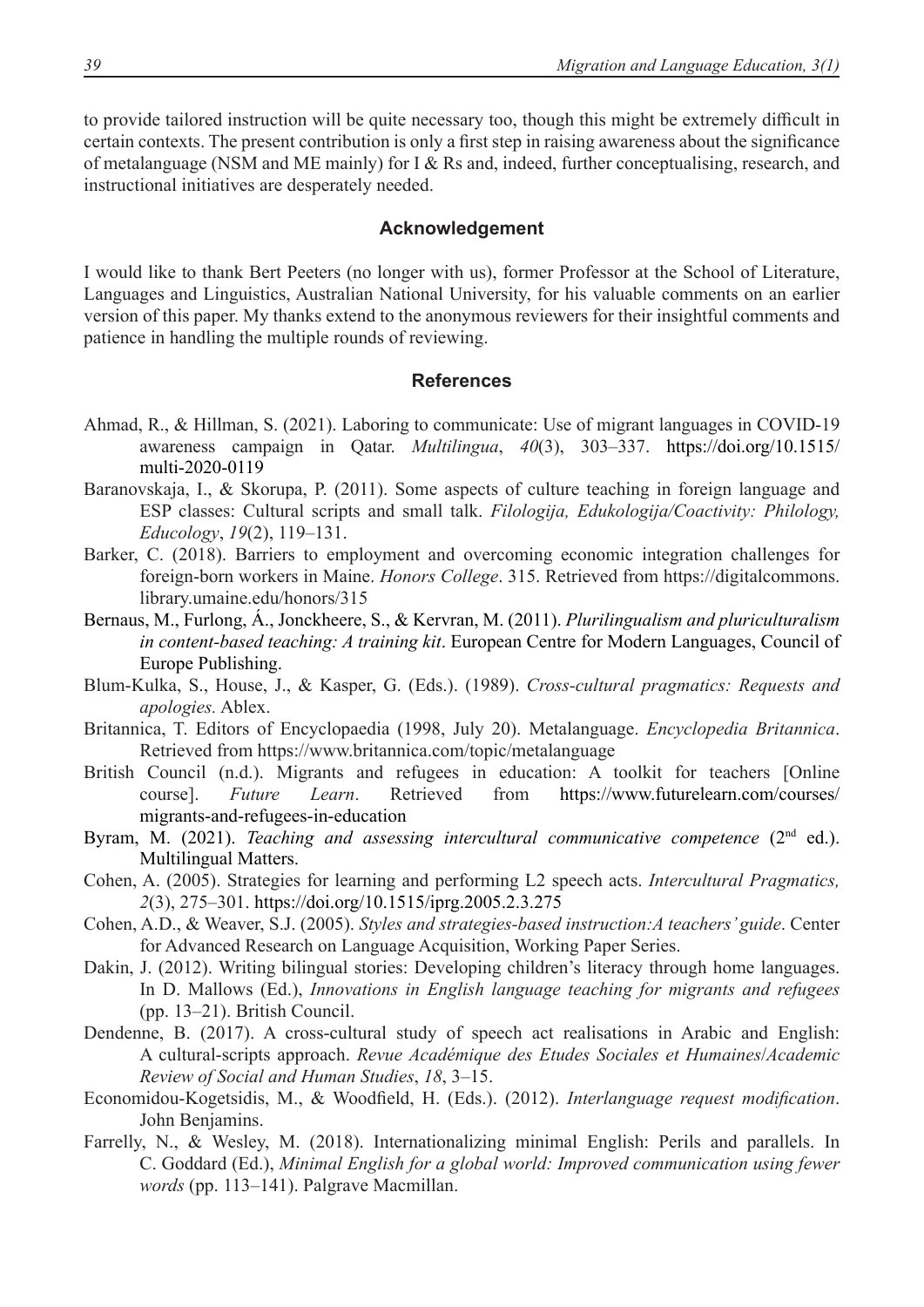to provide tailored instruction will be quite necessary too, though this might be extremely difficult in certain contexts. The present contribution is only a first step in raising awareness about the significance of metalanguage (NSM and ME mainly) for I & Rs and, indeed, further conceptualising, research, and instructional initiatives are desperately needed.

#### **Acknowledgement**

I would like to thank Bert Peeters (no longer with us), former Professor at the School of Literature, Languages and Linguistics, Australian National University, for his valuable comments on an earlier version of this paper. My thanks extend to the anonymous reviewers for their insightful comments and patience in handling the multiple rounds of reviewing.

#### **References**

- Ahmad, R., & Hillman, S. (2021). Laboring to communicate: Use of migrant languages in COVID-19 awareness campaign in Qatar. *Multilingua*, *40*(3), 303–337. [https://doi.org/10.1515/](https://doi.org/10.1515/multi-2020-0119) [multi-2020-0119](https://doi.org/10.1515/multi-2020-0119)
- Baranovskaja, I., & Skorupa, P. (2011). Some aspects of culture teaching in foreign language and ESP classes: Cultural scripts and small talk. *Filologija, Edukologija/Coactivity: Philology, Educology*, *19*(2), 119–131.
- Barker, C. (2018). Barriers to employment and overcoming economic integration challenges for foreign-born workers in Maine. *Honors College*. 315. Retrieved from [https://digitalcommons.](https://digitalcommons.library.umaine.edu/honors/315) [library.umaine.edu/honors/315](https://digitalcommons.library.umaine.edu/honors/315)
- Bernaus, M., Furlong, Á., Jonckheere, S., & Kervran, M. (2011). *Plurilingualism and pluriculturalism in content-based teaching: A training kit*. European Centre for Modern Languages, Council of Europe Publishing.
- Blum-Kulka, S., House, J., & Kasper, G. (Eds.). (1989). *Cross-cultural pragmatics: Requests and apologies.* Ablex.
- Britannica, T. Editors of Encyclopaedia (1998, July 20). Metalanguage. *Encyclopedia Britannica*. Retrieved from <https://www.britannica.com/topic/metalanguage>
- British Council (n.d.). Migrants and refugees in education: A toolkit for teachers [Online course]. *Future Learn*. Retrieved from [https://www.futurelearn.com/courses/](https://www.futurelearn.com/courses/migrants-and-refugees-in-education) [migrants-and-refugees-in-education](https://www.futurelearn.com/courses/migrants-and-refugees-in-education)
- Byram, M. (2021). *Teaching and assessing intercultural communicative competence* (2<sup>nd</sup> ed.). Multilingual Matters.
- Cohen, A. (2005). Strategies for learning and performing L2 speech acts. *Intercultural Pragmatics, 2*(3), 275–301. <https://doi.org/10.1515/iprg.2005.2.3.275>
- Cohen, A.D., & Weaver, S.J. (2005). *Styles and strategies-based instruction:A teachers' guide*. Center for Advanced Research on Language Acquisition, Working Paper Series.
- Dakin, J. (2012). Writing bilingual stories: Developing children's literacy through home languages. In D. Mallows (Ed.), *Innovations in English language teaching for migrants and refugees*  (pp. 13–21). British Council.
- Dendenne, B. (2017). A cross-cultural study of speech act realisations in Arabic and English: A cultural-scripts approach. *Revue Académique des Etudes Sociales et Humaines*/*Academic Review of Social and Human Studies*, *18*, 3–15.
- Economidou-Kogetsidis, M., & Woodfield, H. (Eds.). (2012). *Interlanguage request modification*. John Benjamins.
- Farrelly, N., & Wesley, M. (2018). Internationalizing minimal English: Perils and parallels. In C. Goddard (Ed.), *Minimal English for a global world: Improved communication using fewer words* (pp. 113–141). Palgrave Macmillan.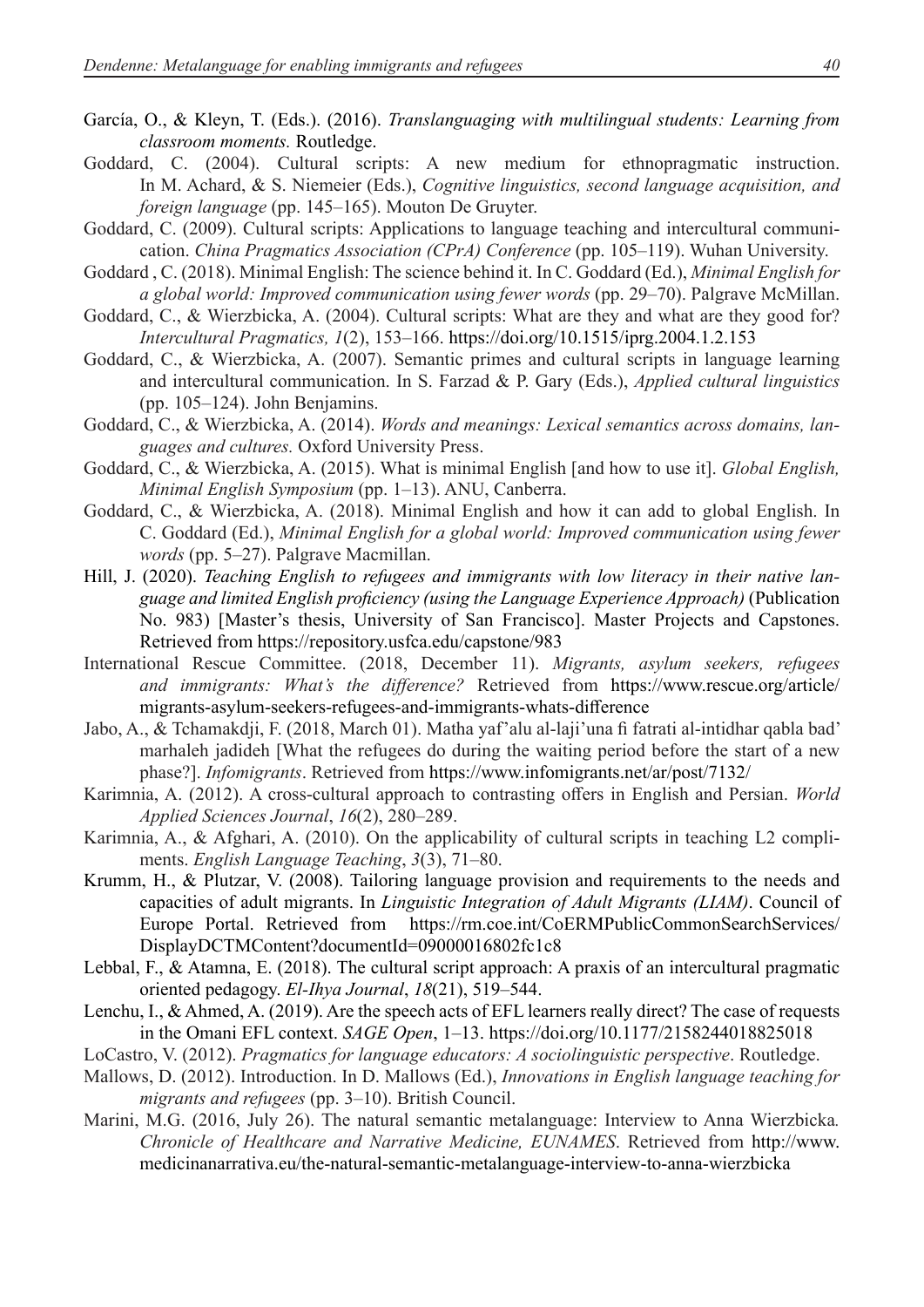- García, O., & Kleyn, T. (Eds.). (2016). *Translanguaging with multilingual students: Learning from classroom moments.* Routledge.
- Goddard, C. (2004). Cultural scripts: A new medium for ethnopragmatic instruction. In M. Achard, & S. Niemeier (Eds.), *Cognitive linguistics, second language acquisition, and foreign language* (pp. 145–165). Mouton De Gruyter.
- Goddard, C. (2009). Cultural scripts: Applications to language teaching and intercultural communication. *China Pragmatics Association (CPrA) Conference* (pp. 105–119). Wuhan University.
- Goddard , C. (2018). Minimal English: The science behind it. In C. Goddard (Ed.), *Minimal English for a global world: Improved communication using fewer words* (pp. 29–70). Palgrave McMillan.
- Goddard, C., & Wierzbicka, A. (2004). Cultural scripts: What are they and what are they good for? *Intercultural Pragmatics, 1*(2), 153–166.<https://doi.org/10.1515/iprg.2004.1.2.153>
- Goddard, C., & Wierzbicka, A. (2007). Semantic primes and cultural scripts in language learning and intercultural communication. In S. Farzad & P. Gary (Eds.), *Applied cultural linguistics* (pp. 105–124). John Benjamins.
- Goddard, C., & Wierzbicka, A. (2014). *Words and meanings: Lexical semantics across domains, languages and cultures.* Oxford University Press.
- Goddard, C., & Wierzbicka, A. (2015). What is minimal English [and how to use it]. *Global English, Minimal English Symposium* (pp. 1–13). ANU, Canberra.
- Goddard, C., & Wierzbicka, A. (2018). Minimal English and how it can add to global English. In C. Goddard (Ed.), *Minimal English for a global world: Improved communication using fewer words* (pp. 5–27). Palgrave Macmillan.
- Hill, J. (2020). *Teaching English to refugees and immigrants with low literacy in their native language and limited English proficiency (using the Language Experience Approach)* (Publication No. 983) [Master's thesis, University of San Francisco]. Master Projects and Capstones. Retrieved from <https://repository.usfca.edu/capstone/983>
- International Rescue Committee. (2018, December 11). *Migrants, asylum seekers, refugees and immigrants: What's the difference?* Retrieved from [https://www.rescue.org/article/](https://www.rescue.org/article/migrants-asylum-seekers-refugees-and-immigrants-whats-difference) [migrants-asylum-seekers-refugees-and-immigrants-whats-difference](https://www.rescue.org/article/migrants-asylum-seekers-refugees-and-immigrants-whats-difference)
- Jabo, A., & Tchamakdji, F. (2018, March 01). Matha yaf'alu al-laji'una fi fatrati al-intidhar qabla bad' marhaleh jadideh [What the refugees do during the waiting period before the start of a new phase?]. *Infomigrants*. Retrieved from <https://www.infomigrants.net/ar/post/7132/>
- Karimnia, A. (2012). A cross-cultural approach to contrasting offers in English and Persian. *World Applied Sciences Journal*, *16*(2), 280–289.
- Karimnia, A., & Afghari, A. (2010). On the applicability of cultural scripts in teaching L2 compliments. *English Language Teaching*, *3*(3), 71–80.
- Krumm, H., & Plutzar, V. (2008). Tailoring language provision and requirements to the needs and capacities of adult migrants. In *Linguistic Integration of Adult Migrants (LIAM)*. Council of Europe Portal. Retrieved from [https://rm.coe.int/CoERMPublicCommonSearchServices/](https://rm.coe.int/CoERMPublicCommonSearchServices/DisplayDCTMContent?documentId=09000016802fc1c8) [DisplayDCTMContent?documentId=09000016802fc1c8](https://rm.coe.int/CoERMPublicCommonSearchServices/DisplayDCTMContent?documentId=09000016802fc1c8)
- Lebbal, F., & Atamna, E. (2018). The cultural script approach: A praxis of an intercultural pragmatic oriented pedagogy. *El-Ihya Journal*, *18*(21), 519–544.
- Lenchu, I., & Ahmed, A. (2019). Are the speech acts of EFL learners really direct? The case of requests in the Omani EFL context. *SAGE Open*, 1–13.<https://doi.org/10.1177/2158244018825018>
- LoCastro, V. (2012). *Pragmatics for language educators: A sociolinguistic perspective*. Routledge.
- Mallows, D. (2012). Introduction. In D. Mallows (Ed.), *Innovations in English language teaching for migrants and refugees* (pp. 3–10). British Council.
- Marini, M.G. (2016, July 26). The natural semantic metalanguage: Interview to Anna Wierzbicka*. Chronicle of Healthcare and Narrative Medicine, EUNAMES*. Retrieved from [http://www.](http://www.medicinanarrativa.eu/the-natural-semantic-metalanguage-interview-to-anna-wierzbicka) [medicinanarrativa.eu/the-natural-semantic-metalanguage-interview-to-anna-wierzbicka](http://www.medicinanarrativa.eu/the-natural-semantic-metalanguage-interview-to-anna-wierzbicka)